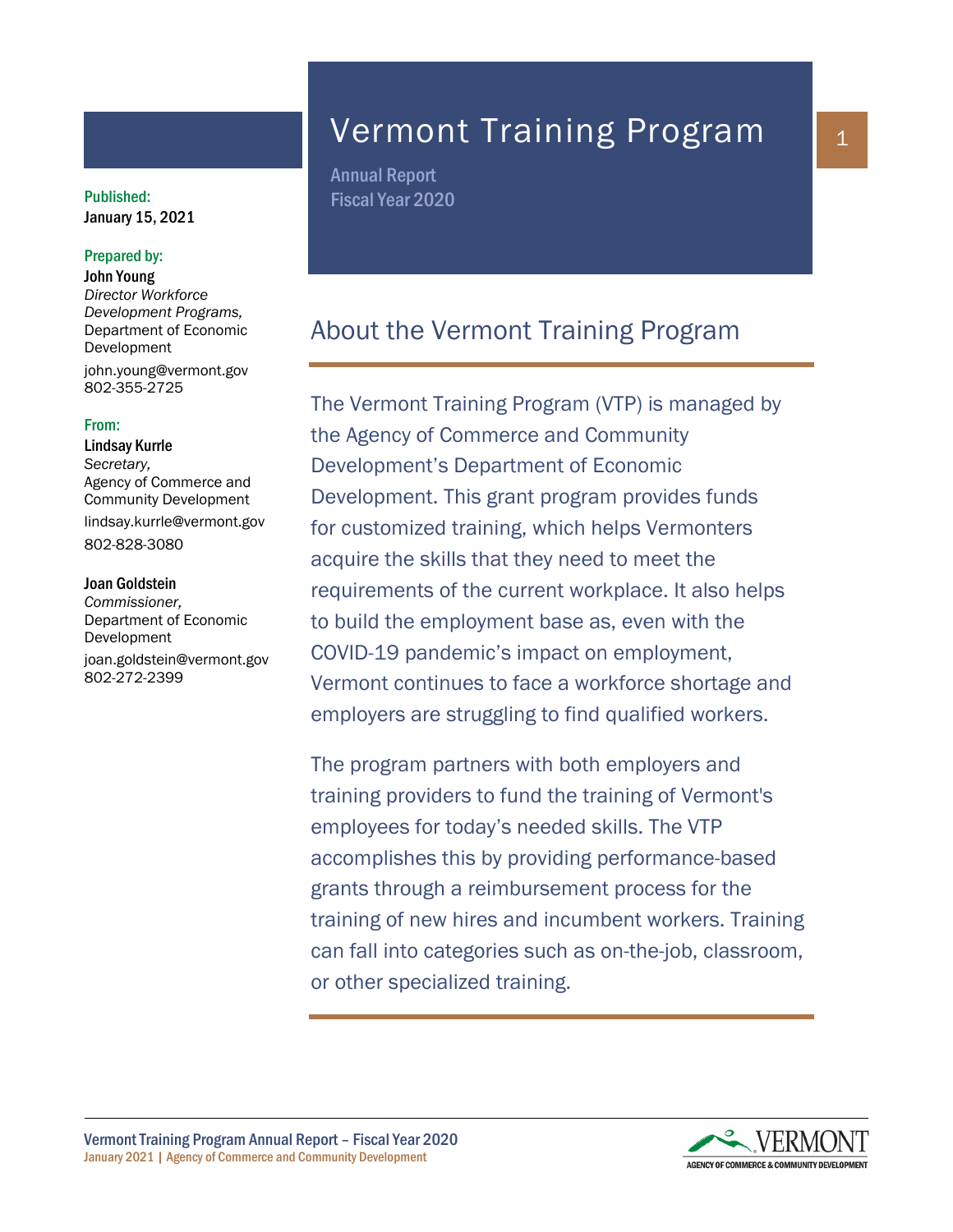## January 15, 2021

#### Prepared by:

John Young *Director Workforce Development Programs,* Department of Economic Development john.young@vermont.gov 802-355-2725

#### From:

Lindsay Kurrle *Secretary,*  Agency of Commerce and Community Development lindsay.kurrle@vermont.gov 802-828-3080

#### Joan Goldstein

*Commissioner,* Department of Economic Development joan.goldstein@vermont.gov 802-272-2399

## Vermont Training Program

Annual Report Published: Fiscal Year 2020

## About the Vermont Training Program

The Vermont Training Program (VTP) is managed by the Agency of Commerce and Community Development's Department of Economic Development. This grant program provides funds for customized training, which helps Vermonters acquire the skills that they need to meet the requirements of the current workplace. It also helps to build the employment base as, even with the COVID-19 pandemic's impact on employment, Vermont continues to face a workforce shortage and employers are struggling to find qualified workers.

The program partners with both employers and training providers to fund the training of Vermont's employees for today's needed skills. The VTP accomplishes this by providing performance-based grants through a reimbursement process for the training of new hires and incumbent workers. Training can fall into categories such as on-the-job, classroom, or other specialized training.

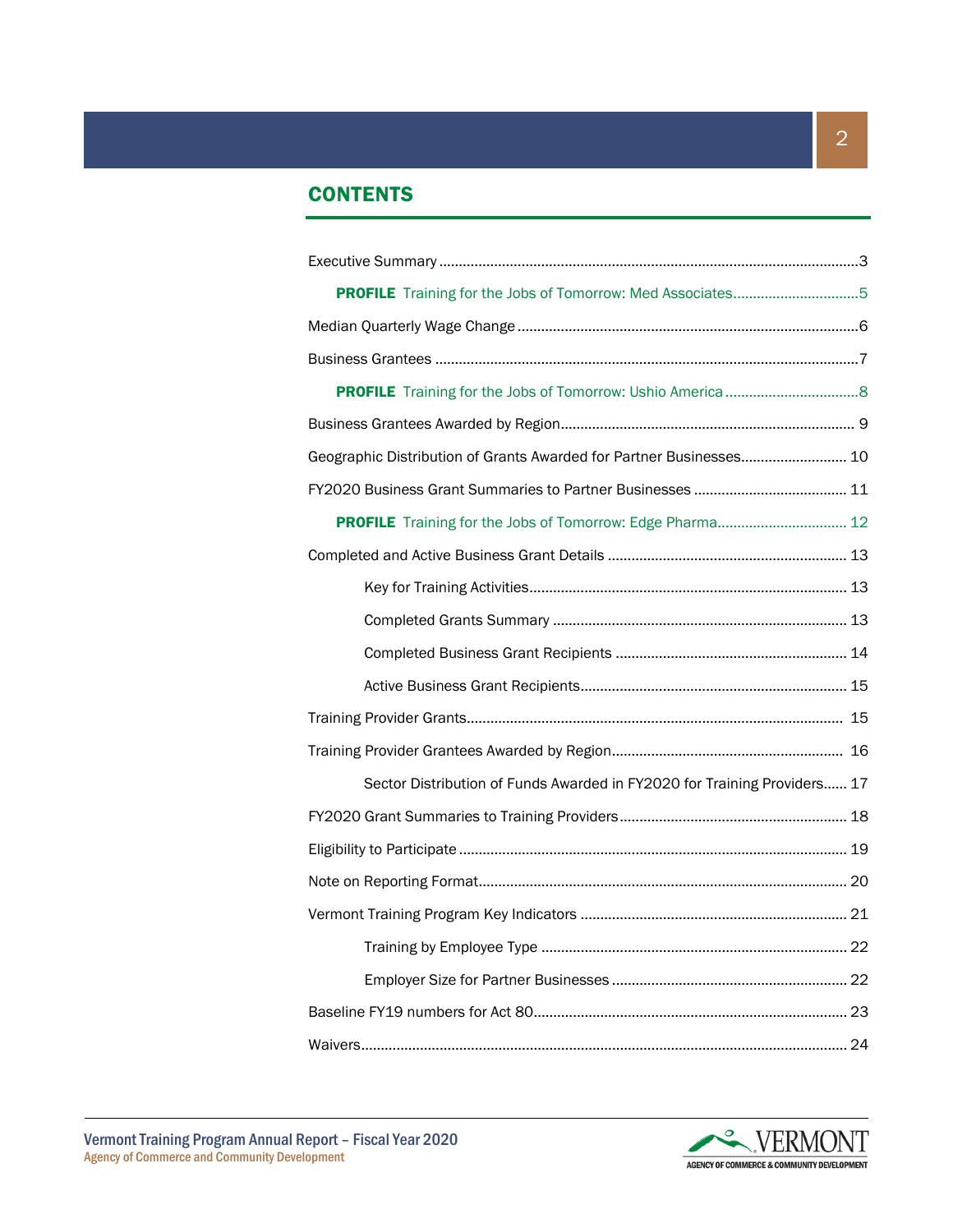## **CONTENTS**

| PROFILE Training for the Jobs of Tomorrow: Med Associates5               |
|--------------------------------------------------------------------------|
|                                                                          |
|                                                                          |
|                                                                          |
|                                                                          |
| Geographic Distribution of Grants Awarded for Partner Businesses 10      |
|                                                                          |
| PROFILE Training for the Jobs of Tomorrow: Edge Pharma 12                |
|                                                                          |
|                                                                          |
|                                                                          |
|                                                                          |
|                                                                          |
|                                                                          |
|                                                                          |
| Sector Distribution of Funds Awarded in FY2020 for Training Providers 17 |
|                                                                          |
|                                                                          |
|                                                                          |
|                                                                          |
|                                                                          |
|                                                                          |
|                                                                          |
|                                                                          |

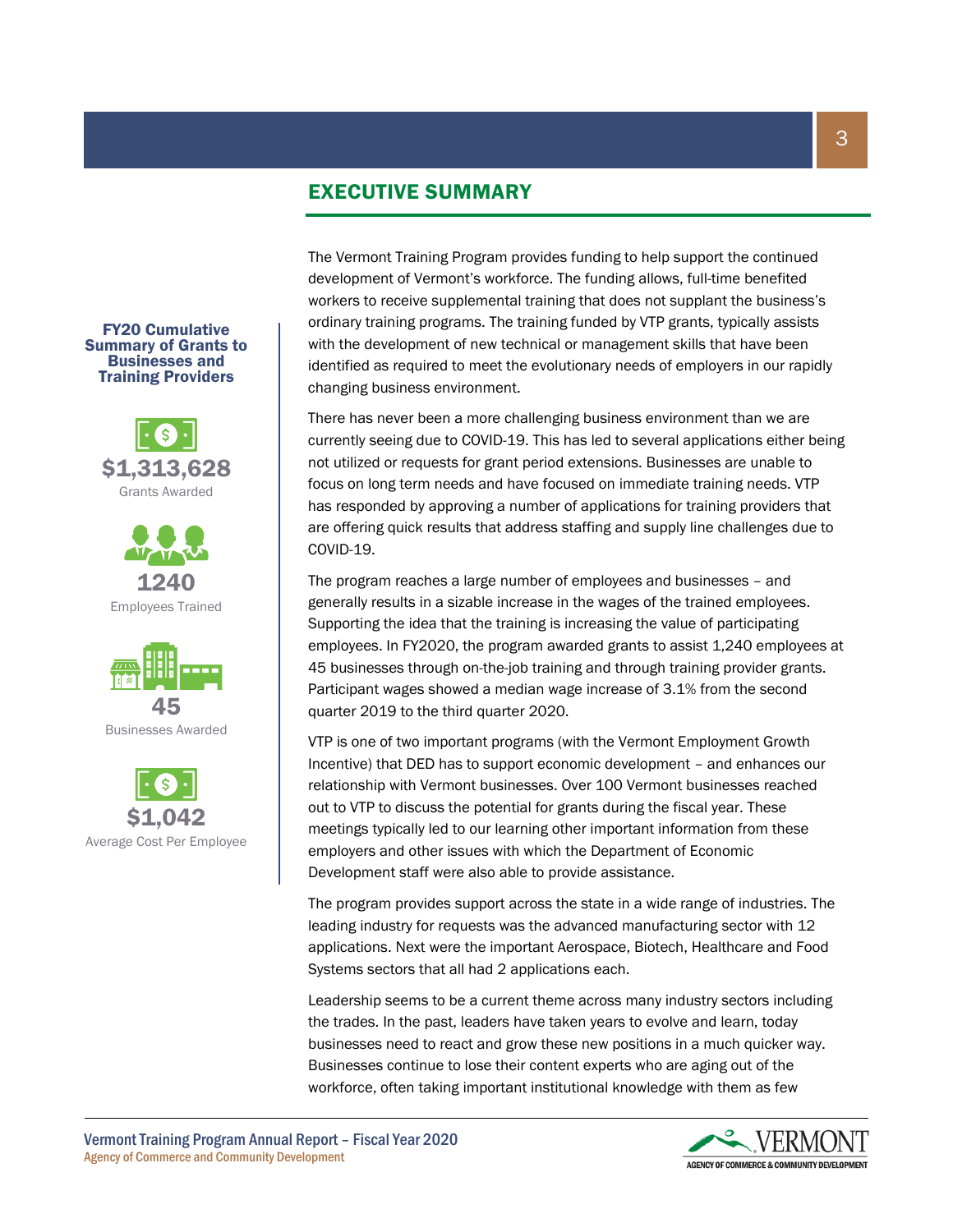## EXECUTIVE SUMMARY

The Vermont Training Program provides funding to help support the continued development of Vermont's workforce. The funding allows, full-time benefited workers to receive supplemental training that does not supplant the business's ordinary training programs. The training funded by VTP grants, typically assists with the development of new technical or management skills that have been identified as required to meet the evolutionary needs of employers in our rapidly changing business environment.

There has never been a more challenging business environment than we are currently seeing due to COVID-19. This has led to several applications either being not utilized or requests for grant period extensions. Businesses are unable to focus on long term needs and have focused on immediate training needs. VTP has responded by approving a number of applications for training providers that are offering quick results that address staffing and supply line challenges due to COVID-19.

The program reaches a large number of employees and businesses – and generally results in a sizable increase in the wages of the trained employees. Supporting the idea that the training is increasing the value of participating employees. In FY2020, the program awarded grants to assist 1,240 employees at 45 businesses through on-the-job training and through training provider grants. Participant wages showed a median wage increase of 3.1% from the second quarter 2019 to the third quarter 2020.

VTP is one of two important programs (with the Vermont Employment Growth Incentive) that DED has to support economic development – and enhances our relationship with Vermont businesses. Over 100 Vermont businesses reached out to VTP to discuss the potential for grants during the fiscal year. These meetings typically led to our learning other important information from these employers and other issues with which the Department of Economic Development staff were also able to provide assistance.

The program provides support across the state in a wide range of industries. The leading industry for requests was the advanced manufacturing sector with 12 applications. Next were the important Aerospace, Biotech, Healthcare and Food Systems sectors that all had 2 applications each.

Leadership seems to be a current theme across many industry sectors including the trades. In the past, leaders have taken years to evolve and learn, today businesses need to react and grow these new positions in a much quicker way. Businesses continue to lose their content experts who are aging out of the workforce, often taking important institutional knowledge with them as few







FY20 Cumulative Summary of Grants to

Grants Awarded





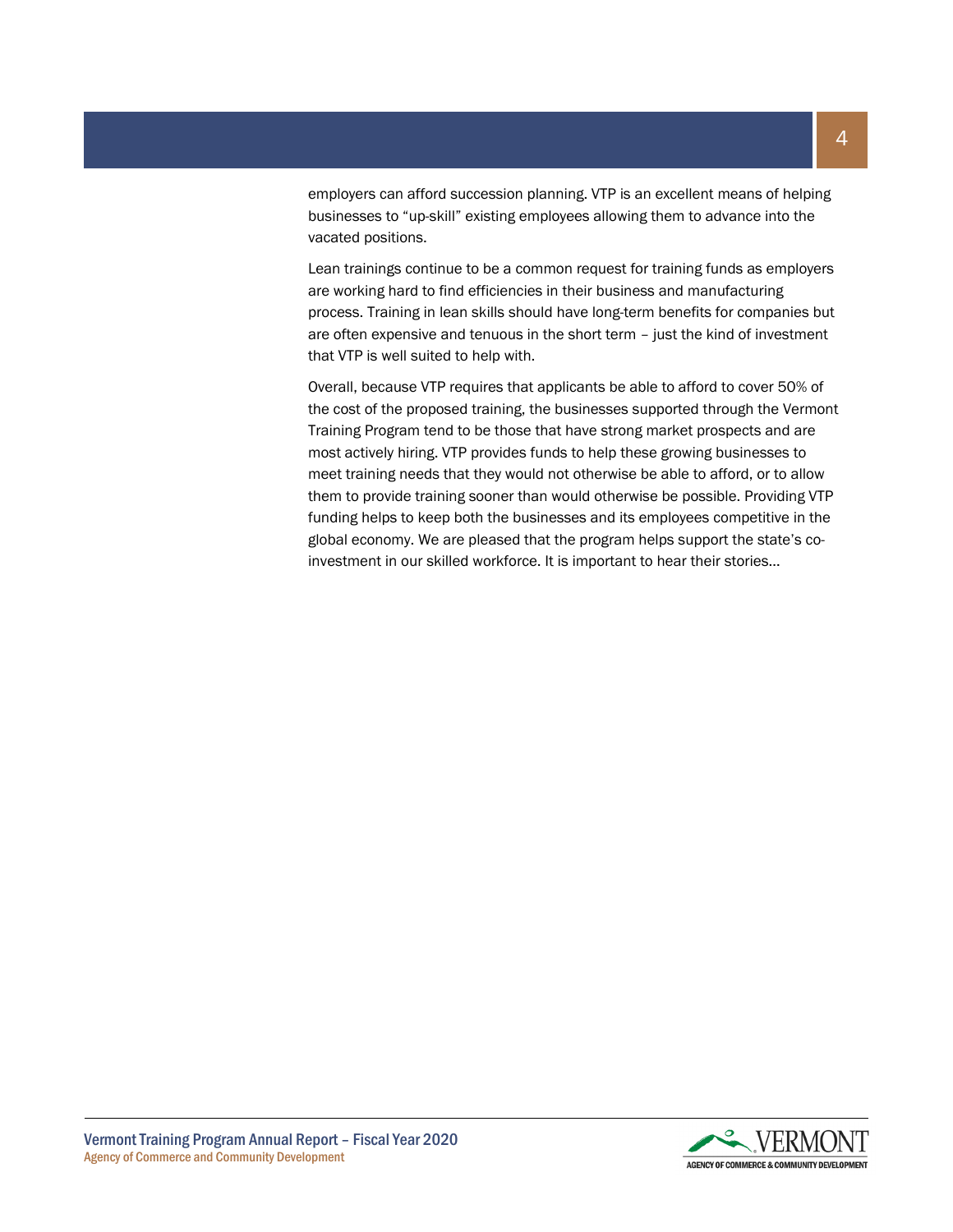employers can afford succession planning. VTP is an excellent means of helping businesses to "up-skill" existing employees allowing them to advance into the vacated positions.

Lean trainings continue to be a common request for training funds as employers are working hard to find efficiencies in their business and manufacturing process. Training in lean skills should have long-term benefits for companies but are often expensive and tenuous in the short term – just the kind of investment that VTP is well suited to help with.

Overall, because VTP requires that applicants be able to afford to cover 50% of the cost of the proposed training, the businesses supported through the Vermont Training Program tend to be those that have strong market prospects and are most actively hiring. VTP provides funds to help these growing businesses to meet training needs that they would not otherwise be able to afford, or to allow them to provide training sooner than would otherwise be possible. Providing VTP funding helps to keep both the businesses and its employees competitive in the global economy. We are pleased that the program helps support the state's coinvestment in our skilled workforce. It is important to hear their stories…

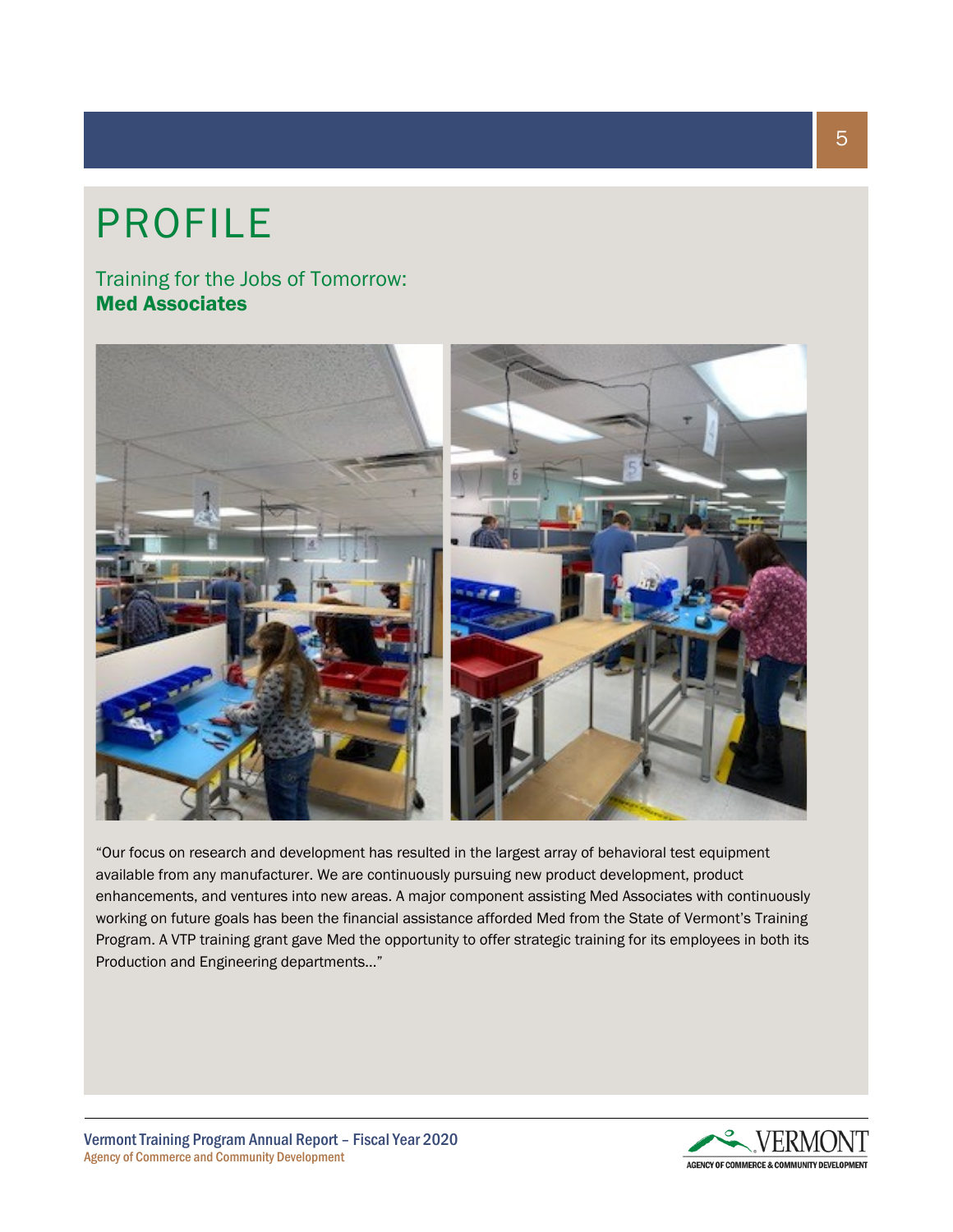# PROFILE

Training for the Jobs of Tomorrow: Med Associates



"Our focus on research and development has resulted in the largest array of behavioral test equipment available from any manufacturer. We are continuously pursuing new product development, product enhancements, and ventures into new areas. A major component assisting Med Associates with continuously working on future goals has been the financial assistance afforded Med from the State of Vermont's Training Program. A VTP training grant gave Med the opportunity to offer strategic training for its employees in both its Production and Engineering departments…"



5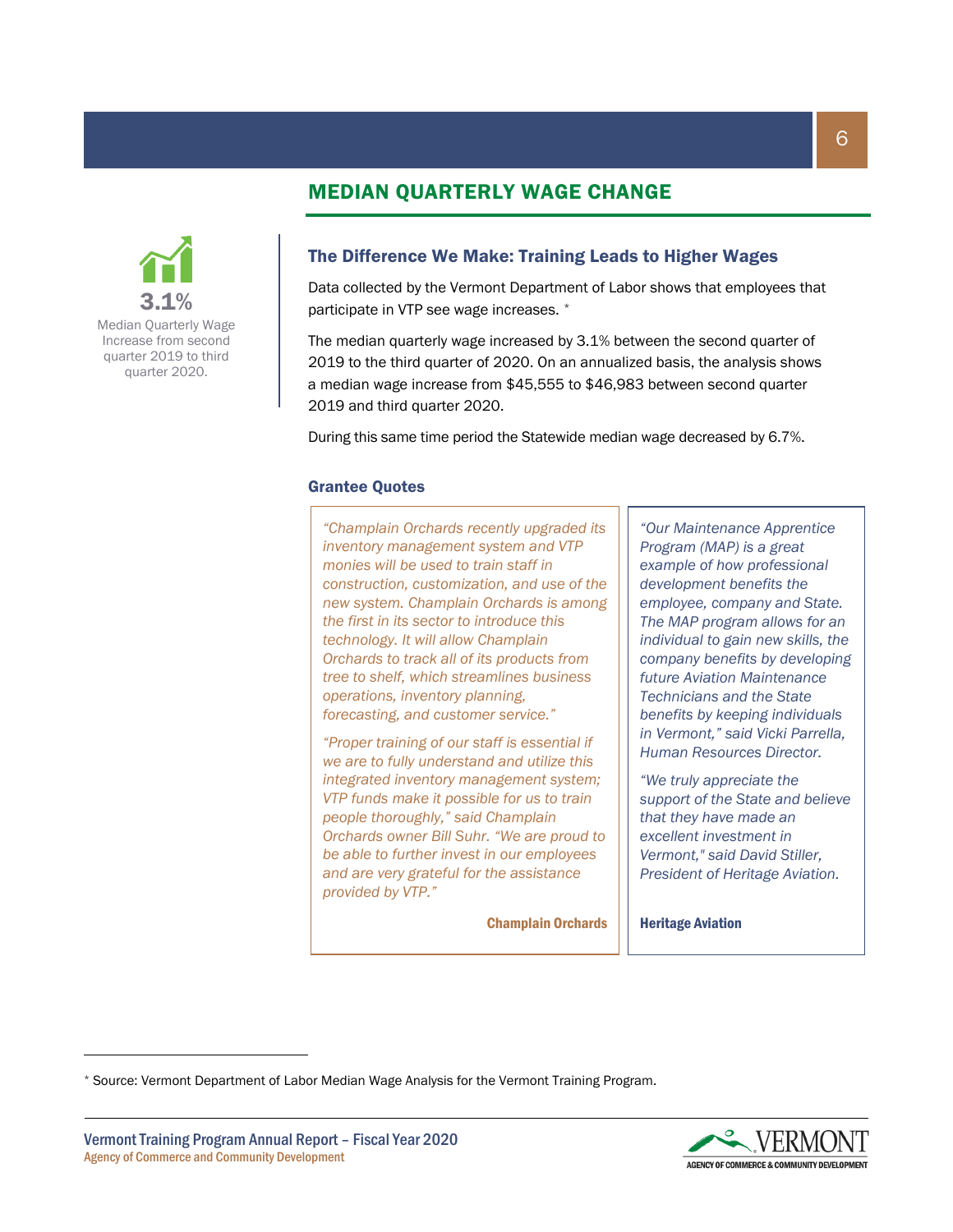## MEDIAN QUARTERLY WAGE CHANGE



Median Quarterly Wage Increase from second quarter 2019 to third quarter 2020.

#### The Difference We Make: Training Leads to Higher Wages

Data collected by the Vermont Department of Labor shows that employees that participate in VTP see wage increases. [\\*](#page-5-0)

The median quarterly wage increased by 3.1% between the second quarter of 2019 to the third quarter of 2020. On an annualized basis, the analysis shows a median wage increase from \$45,555 to \$46,983 between second quarter 2019 and third quarter 2020.

During this same time period the Statewide median wage decreased by 6.7%.

#### Grantee Quotes

*"Champlain Orchards recently upgraded its inventory management system and VTP monies will be used to train staff in construction, customization, and use of the new system. Champlain Orchards is among the first in its sector to introduce this technology. It will allow Champlain Orchards to track all of its products from tree to shelf, which streamlines business operations, inventory planning, forecasting, and customer service."*

*"Proper training of our staff is essential if we are to fully understand and utilize this integrated inventory management system; VTP funds make it possible for us to train people thoroughly," said Champlain Orchards owner Bill Suhr. "We are proud to be able to further invest in our employees and are very grateful for the assistance provided by VTP."*

Champlain Orchards

*"Our Maintenance Apprentice Program (MAP) is a great example of how professional development benefits the employee, company and State. The MAP program allows for an individual to gain new skills, the company benefits by developing future Aviation Maintenance Technicians and the State benefits by keeping individuals in Vermont," said Vicki Parrella, Human Resources Director.*

*"We truly appreciate the support of the State and believe that they have made an excellent investment in Vermont," said David Stiller, President of Heritage Aviation.*

Heritage Aviation



<span id="page-5-0"></span><sup>\*</sup> Source: Vermont Department of Labor Median Wage Analysis for the Vermont Training Program.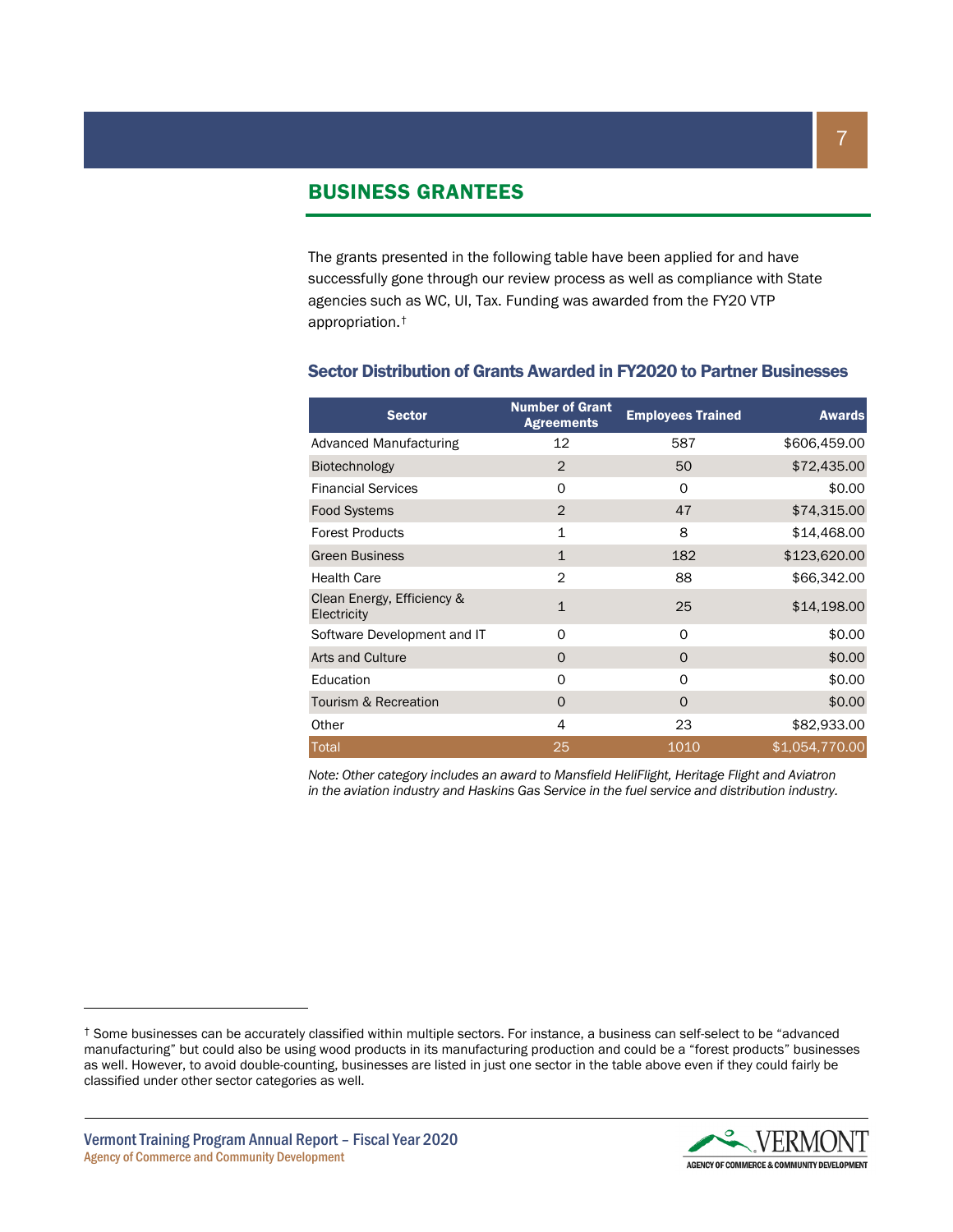#### BUSINESS GRANTEES

The grants presented in the following table have been applied for and have successfully gone through our review process as well as compliance with State agencies such as WC, UI, Tax. Funding was awarded from the FY20 VTP appropriation.[†](#page-6-0)

| <b>Sector</b>                             | <b>Number of Grant</b><br><b>Agreements</b> | <b>Employees Trained</b> | <b>Awards</b>  |
|-------------------------------------------|---------------------------------------------|--------------------------|----------------|
| <b>Advanced Manufacturing</b>             | 12                                          | 587                      | \$606,459.00   |
| Biotechnology                             | 2                                           | 50                       | \$72,435.00    |
| <b>Financial Services</b>                 | 0                                           | O                        | \$0.00         |
| <b>Food Systems</b>                       | $\overline{2}$                              | 47                       | \$74,315.00    |
| <b>Forest Products</b>                    | $\mathbf{1}$                                | 8                        | \$14,468.00    |
| <b>Green Business</b>                     | $\mathbf{1}$                                | 182                      | \$123,620.00   |
| <b>Health Care</b>                        | $\overline{2}$                              | 88                       | \$66,342.00    |
| Clean Energy, Efficiency &<br>Electricity | $\mathbf{1}$                                | 25                       | \$14,198.00    |
| Software Development and IT               | 0                                           | O                        | \$0.00         |
| Arts and Culture                          | O                                           | $\Omega$                 | \$0.00         |
| Education                                 | 0                                           | O                        | \$0.00         |
| Tourism & Recreation                      | 0                                           | 0                        | \$0.00         |
| Other                                     | 4                                           | 23                       | \$82,933.00    |
| Total                                     | 25                                          | 1010                     | \$1,054,770.00 |

#### Sector Distribution of Grants Awarded in FY2020 to Partner Businesses

*Note: Other category includes an award to Mansfield HeliFlight, Heritage Flight and Aviatron in the aviation industry and Haskins Gas Service in the fuel service and distribution industry.*

<span id="page-6-0"></span><sup>†</sup> Some businesses can be accurately classified within multiple sectors. For instance, a business can self-select to be "advanced manufacturing" but could also be using wood products in its manufacturing production and could be a "forest products" businesses as well. However, to avoid double-counting, businesses are listed in just one sector in the table above even if they could fairly be classified under other sector categories as well.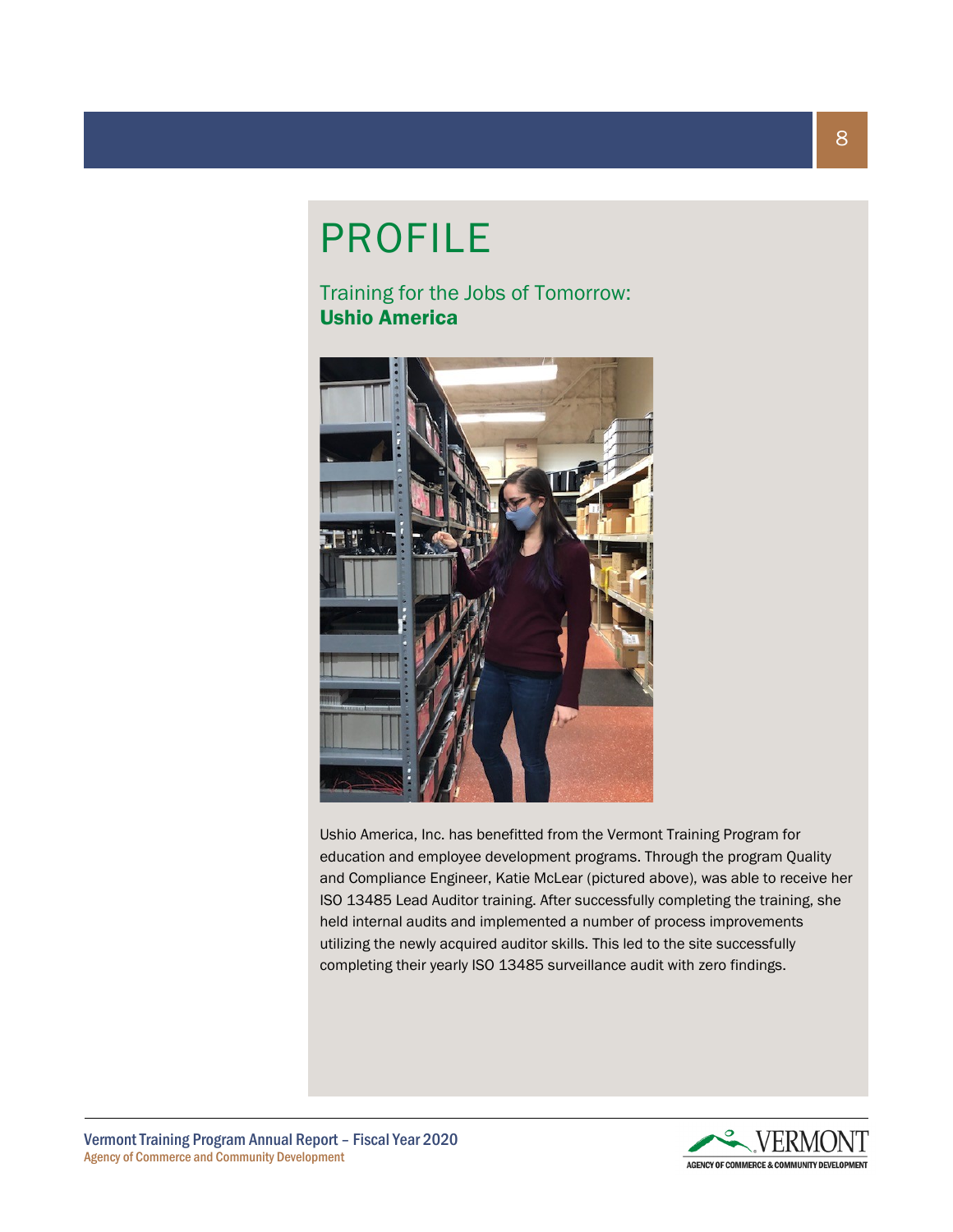## PROFILE

Training for the Jobs of Tomorrow: Ushio America



Ushio America, Inc. has benefitted from the Vermont Training Program for education and employee development programs. Through the program Quality and Compliance Engineer, Katie McLear (pictured above), was able to receive her ISO 13485 Lead Auditor training. After successfully completing the training, she held internal audits and implemented a number of process improvements utilizing the newly acquired auditor skills. This led to the site successfully completing their yearly ISO 13485 surveillance audit with zero findings.

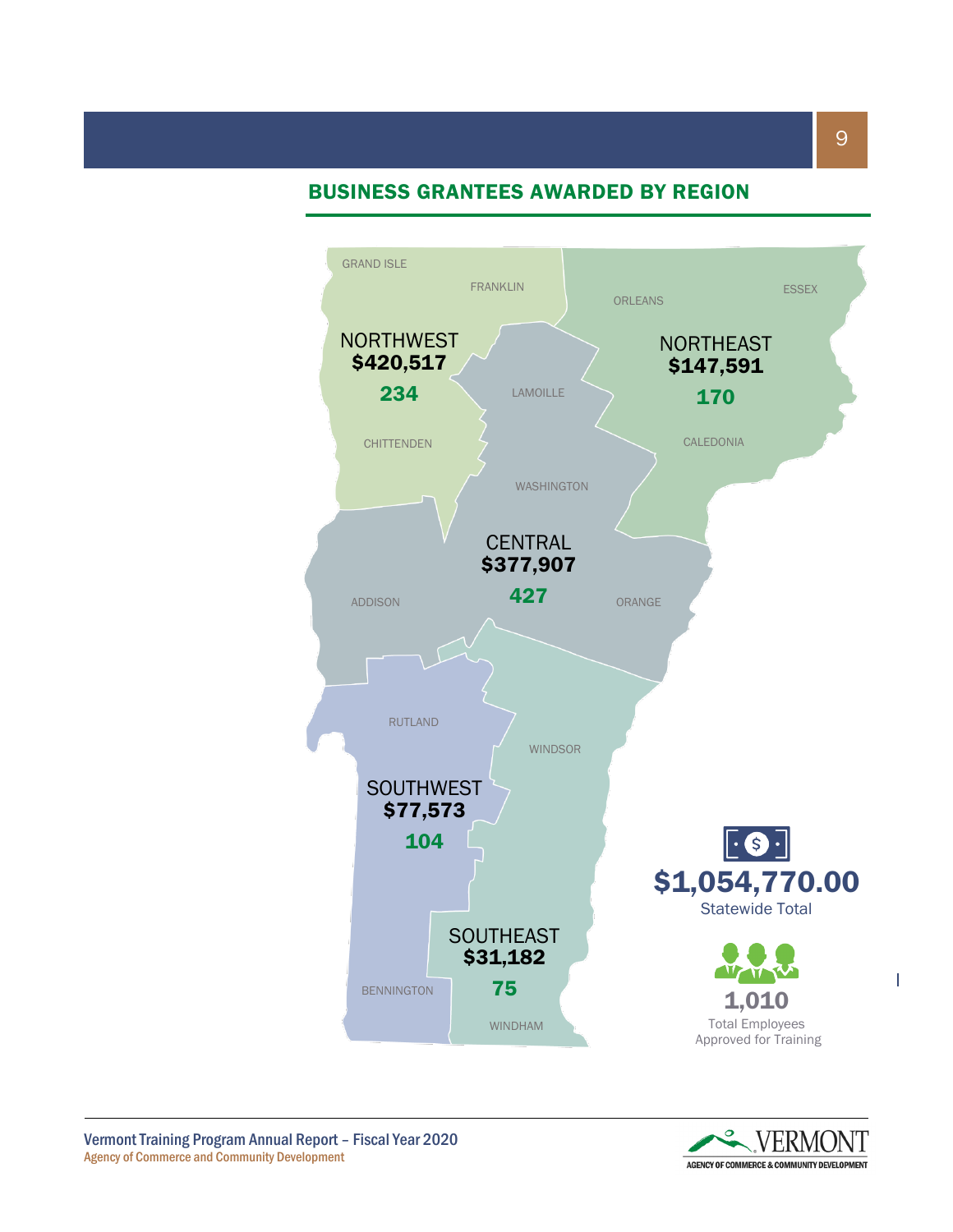## BUSINESS GRANTEES AWARDED BY REGION



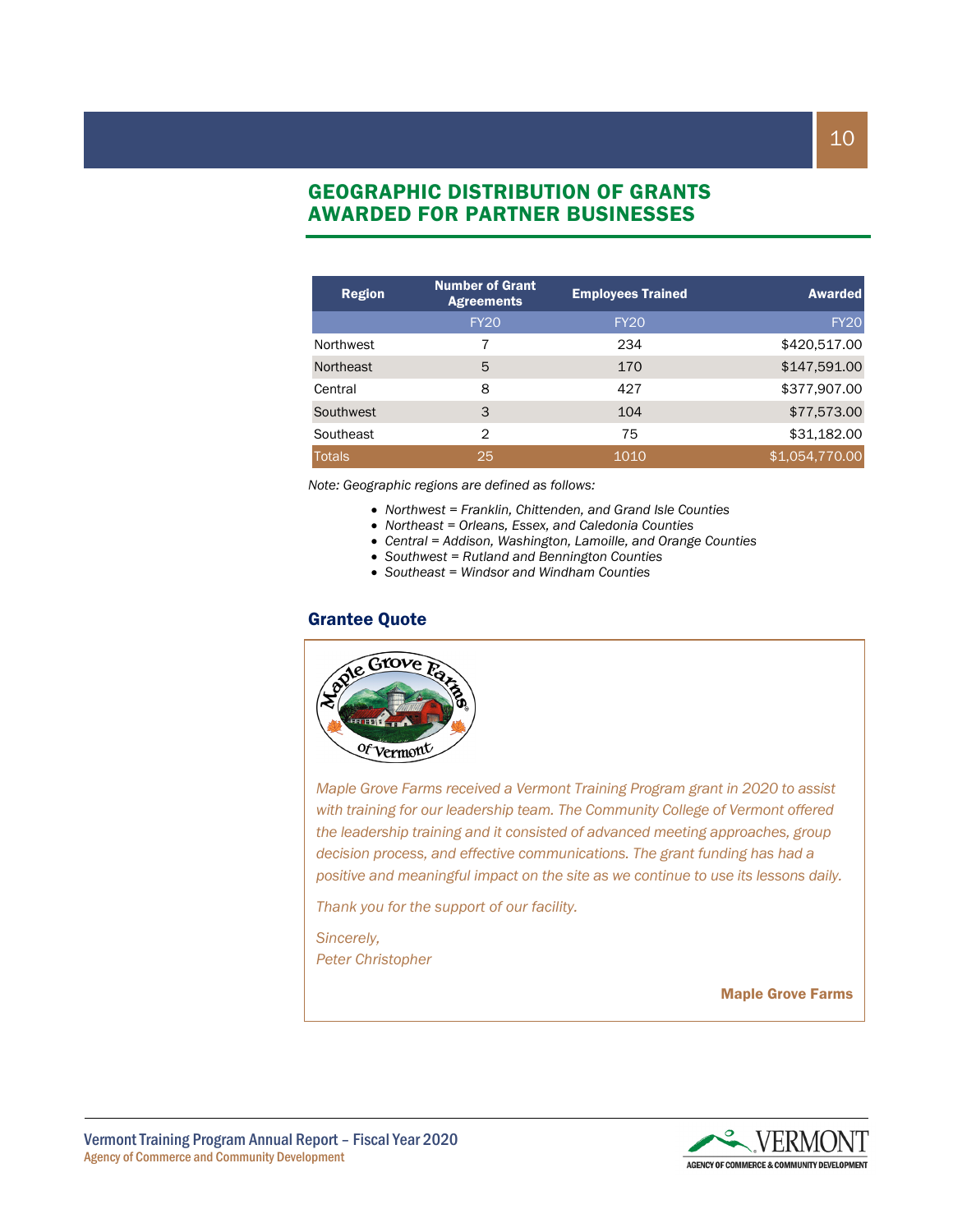## GEOGRAPHIC DISTRIBUTION OF GRANTS AWARDED FOR PARTNER BUSINESSES

| <b>Region</b> | <b>Number of Grant</b><br><b>Agreements</b> | <b>Employees Trained</b> | <b>Awarded</b> |
|---------------|---------------------------------------------|--------------------------|----------------|
|               | <b>FY20</b>                                 | <b>FY20</b>              | <b>FY20</b>    |
| Northwest     |                                             | 234                      | \$420,517.00   |
| Northeast     | 5                                           | 170                      | \$147,591.00   |
| Central       | 8                                           | 427                      | \$377,907.00   |
| Southwest     | 3                                           | 104                      | \$77,573.00    |
| Southeast     | 2                                           | 75                       | \$31,182.00    |
| <b>Totals</b> | 25                                          | 1010                     | \$1,054,770.00 |

*Note: Geographic regions are defined as follows:*

- *Northwest = Franklin, Chittenden, and Grand Isle Counties*
- *Northeast = Orleans, Essex, and Caledonia Counties*
- *Central = Addison, Washington, Lamoille, and Orange Counties*
- *Southwest = Rutland and Bennington Counties*
- *Southeast = Windsor and Windham Counties*

#### Grantee Quote



*Maple Grove Farms received a Vermont Training Program grant in 2020 to assist with training for our leadership team. The Community College of Vermont offered the leadership training and it consisted of advanced meeting approaches, group decision process, and effective communications. The grant funding has had a positive and meaningful impact on the site as we continue to use its lessons daily.* 

*Thank you for the support of our facility.*

*Sincerely, Peter Christopher*

Maple Grove Farms

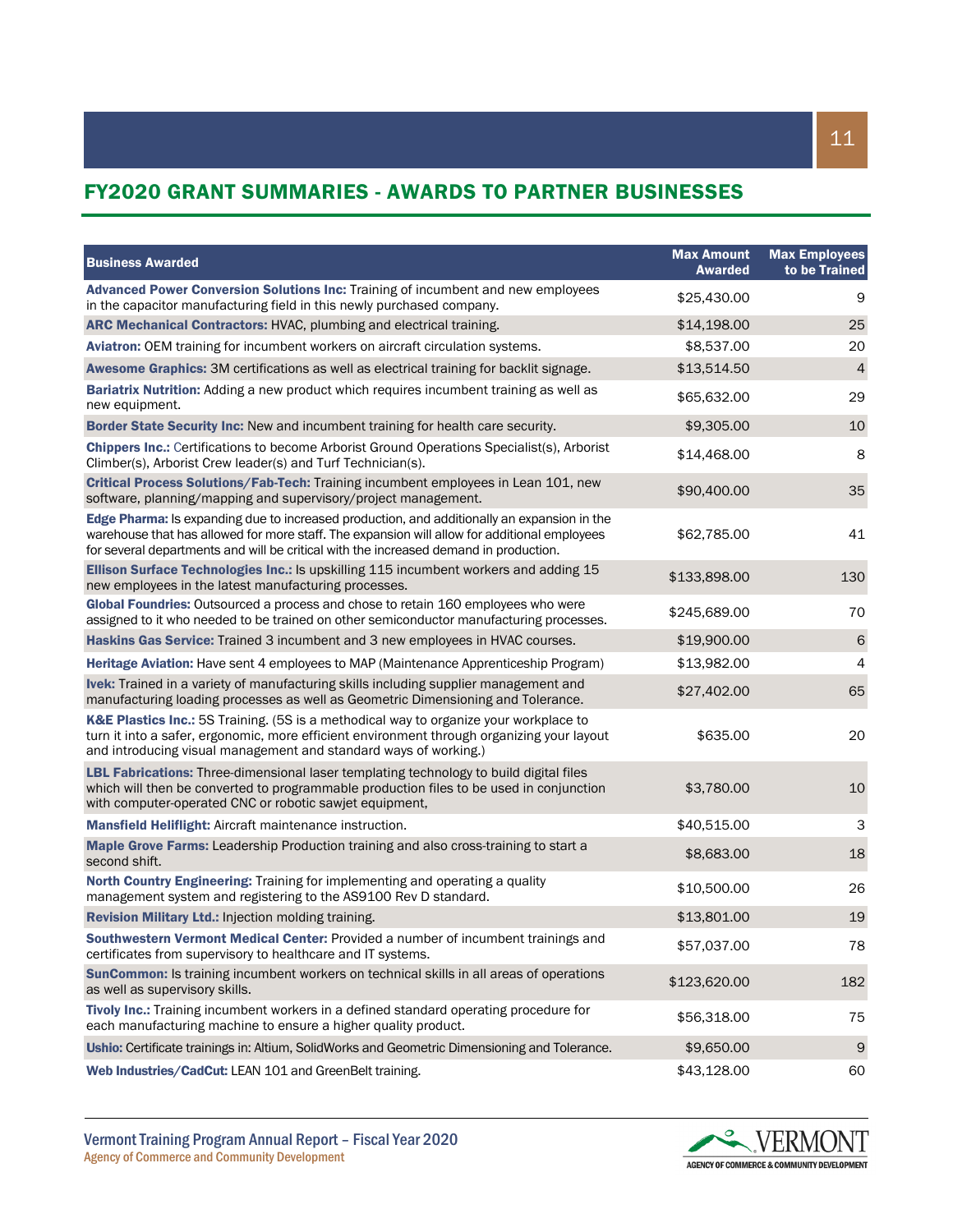## FY2020 GRANT SUMMARIES - AWARDS TO PARTNER BUSINESSES

| <b>Business Awarded</b>                                                                                                                                                                                                                                                              | <b>Max Amount</b><br><b>Awarded</b> | <b>Max Employees</b><br>to be Trained |
|--------------------------------------------------------------------------------------------------------------------------------------------------------------------------------------------------------------------------------------------------------------------------------------|-------------------------------------|---------------------------------------|
| Advanced Power Conversion Solutions Inc: Training of incumbent and new employees<br>in the capacitor manufacturing field in this newly purchased company.                                                                                                                            | \$25,430.00                         | 9                                     |
| ARC Mechanical Contractors: HVAC, plumbing and electrical training.                                                                                                                                                                                                                  | \$14,198.00                         | 25                                    |
| Aviatron: OEM training for incumbent workers on aircraft circulation systems.                                                                                                                                                                                                        | \$8,537.00                          | 20                                    |
| Awesome Graphics: 3M certifications as well as electrical training for backlit signage.                                                                                                                                                                                              | \$13,514.50                         | $\overline{4}$                        |
| Bariatrix Nutrition: Adding a new product which requires incumbent training as well as<br>new equipment.                                                                                                                                                                             | \$65,632.00                         | 29                                    |
| <b>Border State Security Inc: New and incumbent training for health care security.</b>                                                                                                                                                                                               | \$9,305.00                          | 10                                    |
| <b>Chippers Inc.:</b> Certifications to become Arborist Ground Operations Specialist(s), Arborist<br>Climber(s), Arborist Crew leader(s) and Turf Technician(s).                                                                                                                     | \$14,468.00                         | 8                                     |
| Critical Process Solutions/Fab-Tech: Training incumbent employees in Lean 101, new<br>software, planning/mapping and supervisory/project management.                                                                                                                                 | \$90,400.00                         | 35                                    |
| Edge Pharma: Is expanding due to increased production, and additionally an expansion in the<br>warehouse that has allowed for more staff. The expansion will allow for additional employees<br>for several departments and will be critical with the increased demand in production. | \$62,785.00                         | 41                                    |
| Ellison Surface Technologies Inc.: Is upskilling 115 incumbent workers and adding 15<br>new employees in the latest manufacturing processes.                                                                                                                                         | \$133,898.00                        | 130                                   |
| Global Foundries: Outsourced a process and chose to retain 160 employees who were<br>assigned to it who needed to be trained on other semiconductor manufacturing processes.                                                                                                         | \$245,689.00                        | 70                                    |
| Haskins Gas Service: Trained 3 incumbent and 3 new employees in HVAC courses.                                                                                                                                                                                                        | \$19,900.00                         | $\sqrt{6}$                            |
| Heritage Aviation: Have sent 4 employees to MAP (Maintenance Apprenticeship Program)                                                                                                                                                                                                 | \$13,982.00                         | 4                                     |
| Ivek: Trained in a variety of manufacturing skills including supplier management and<br>manufacturing loading processes as well as Geometric Dimensioning and Tolerance.                                                                                                             | \$27,402.00                         | 65                                    |
| K&E Plastics Inc.: 5S Training. (5S is a methodical way to organize your workplace to<br>turn it into a safer, ergonomic, more efficient environment through organizing your layout<br>and introducing visual management and standard ways of working.)                              | \$635.00                            | 20                                    |
| <b>LBL Fabrications:</b> Three-dimensional laser templating technology to build digital files<br>which will then be converted to programmable production files to be used in conjunction<br>with computer-operated CNC or robotic sawjet equipment,                                  | \$3,780.00                          | 10                                    |
| <b>Mansfield Heliflight: Aircraft maintenance instruction.</b>                                                                                                                                                                                                                       | \$40,515.00                         | 3                                     |
| Maple Grove Farms: Leadership Production training and also cross-training to start a<br>second shift.                                                                                                                                                                                | \$8,683.00                          | 18                                    |
| North Country Engineering: Training for implementing and operating a quality<br>management system and registering to the AS9100 Rev D standard.                                                                                                                                      | \$10,500.00                         | 26                                    |
| Revision Military Ltd.: Injection molding training.                                                                                                                                                                                                                                  | \$13,801.00                         | 19                                    |
| Southwestern Vermont Medical Center: Provided a number of incumbent trainings and<br>certificates from supervisory to healthcare and IT systems.                                                                                                                                     | \$57,037.00                         | 78                                    |
| SunCommon: Is training incumbent workers on technical skills in all areas of operations<br>as well as supervisory skills.                                                                                                                                                            | \$123,620.00                        | 182                                   |
| Tivoly Inc.: Training incumbent workers in a defined standard operating procedure for<br>each manufacturing machine to ensure a higher quality product.                                                                                                                              | \$56,318.00                         | 75                                    |
| Ushio: Certificate trainings in: Altium, SolidWorks and Geometric Dimensioning and Tolerance.                                                                                                                                                                                        | \$9,650.00                          | $\boldsymbol{9}$                      |
| Web Industries/CadCut: LEAN 101 and GreenBelt training.                                                                                                                                                                                                                              | \$43,128.00                         | 60                                    |

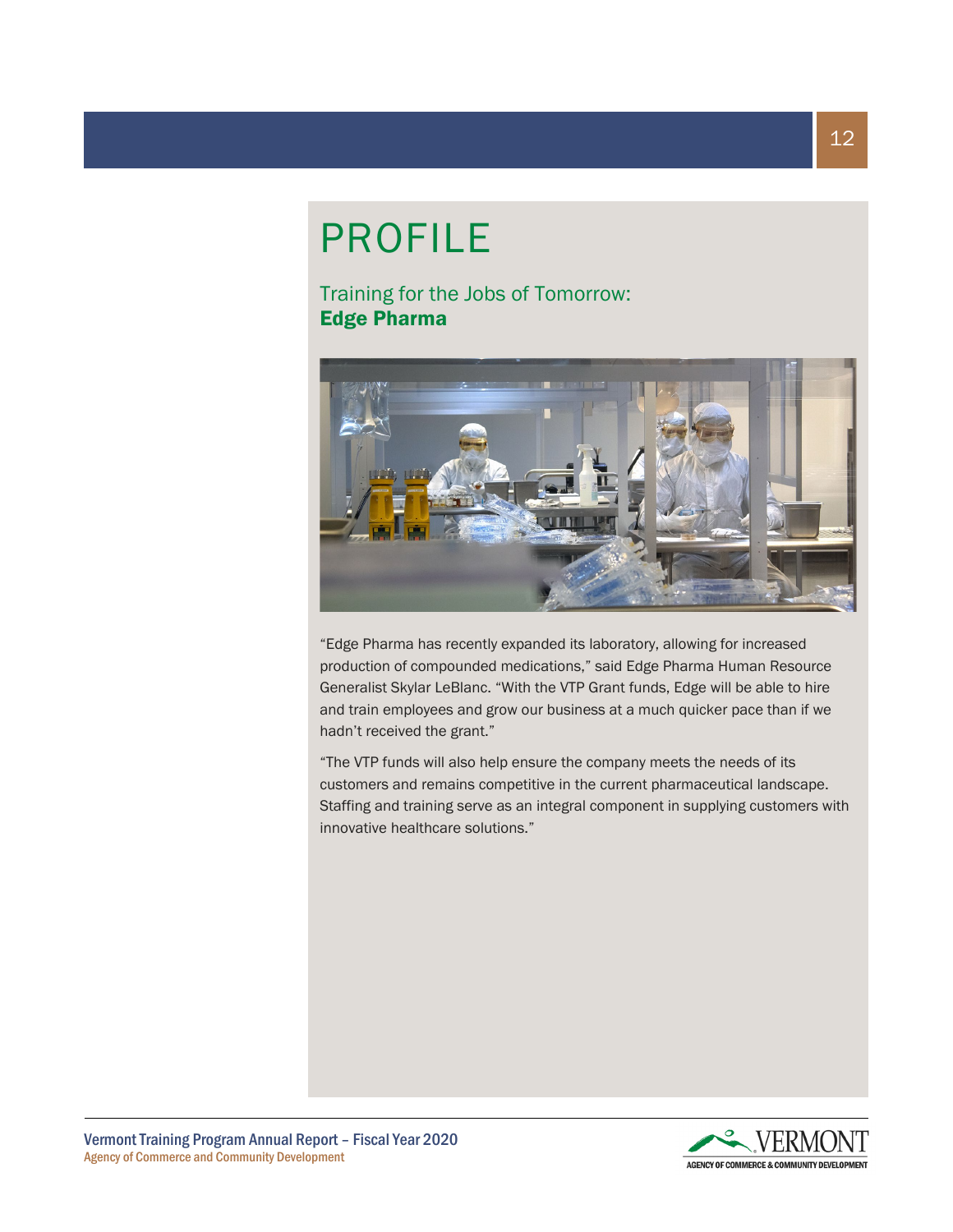# PROFILE

Training for the Jobs of Tomorrow: Edge Pharma



"Edge Pharma has recently expanded its laboratory, allowing for increased production of compounded medications," said Edge Pharma Human Resource Generalist Skylar LeBlanc. "With the VTP Grant funds, Edge will be able to hire and train employees and grow our business at a much quicker pace than if we hadn't received the grant."

"The VTP funds will also help ensure the company meets the needs of its customers and remains competitive in the current pharmaceutical landscape. Staffing and training serve as an integral component in supplying customers with innovative healthcare solutions."

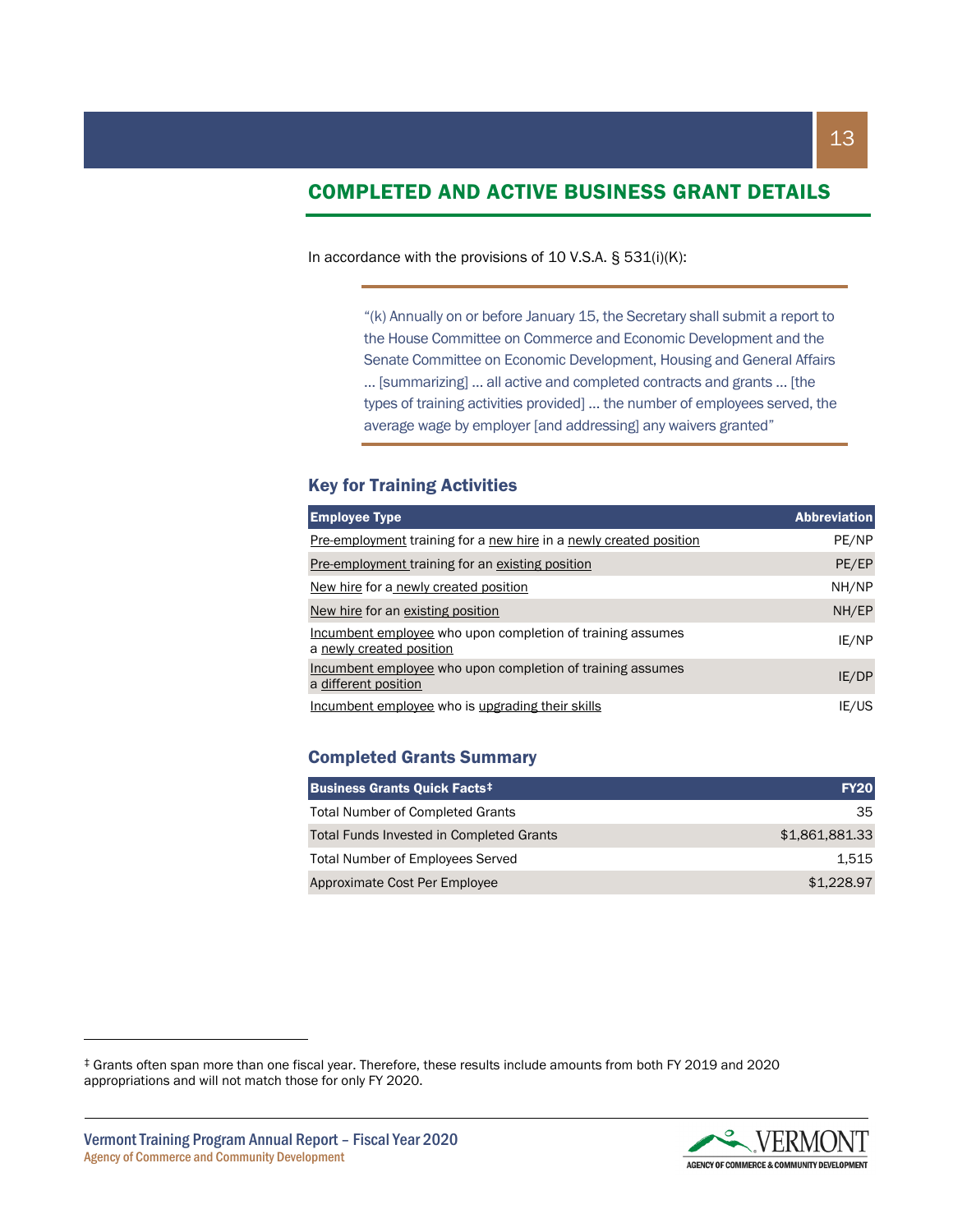## COMPLETED AND ACTIVE BUSINESS GRANT DETAILS

In accordance with the provisions of 10 V.S.A. § 531(i)(K):

"(k) Annually on or before January 15, the Secretary shall submit a report to the House Committee on Commerce and Economic Development and the Senate Committee on Economic Development, Housing and General Affairs … [summarizing] … all active and completed contracts and grants … [the types of training activities provided] … the number of employees served, the average wage by employer [and addressing] any waivers granted"

#### Key for Training Activities

| <b>Employee Type</b>                                                                   | <b>Abbreviation</b> |
|----------------------------------------------------------------------------------------|---------------------|
| Pre-employment training for a new hire in a newly created position                     | PE/NP               |
| <b>Pre-employment training for an existing position</b>                                | PE/EP               |
| New hire for a newly created position                                                  | NH/NP               |
| New hire for an existing position                                                      | NH/EP               |
| Incumbent employee who upon completion of training assumes<br>a newly created position | IE/NP               |
| Incumbent employee who upon completion of training assumes<br>a different position     | IE/DP               |
| Incumbent employee who is upgrading their skills                                       | IE/US               |

#### Completed Grants Summary

| <b>Business Grants Quick Facts<sup>‡</sup></b>  | <b>FY20</b>    |
|-------------------------------------------------|----------------|
| <b>Total Number of Completed Grants</b>         | 35.            |
| <b>Total Funds Invested in Completed Grants</b> | \$1,861,881,33 |
| <b>Total Number of Employees Served</b>         | 1.515          |
| Approximate Cost Per Employee                   | \$1,228.97     |

<span id="page-12-0"></span><sup>‡</sup> Grants often span more than one fiscal year. Therefore, these results include amounts from both FY 2019 and 2020 appropriations and will not match those for only FY 2020.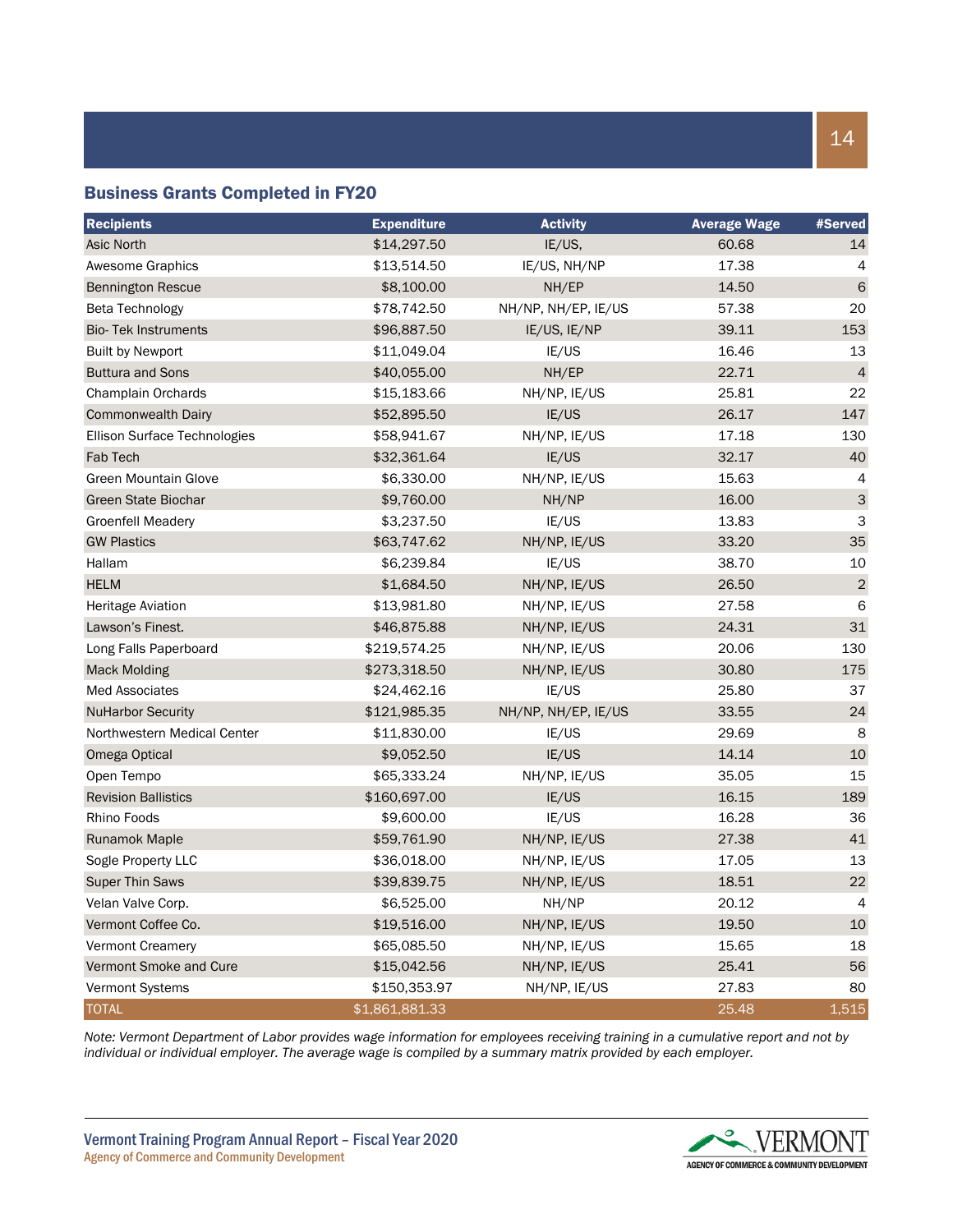#### Business Grants Completed in FY20

| <b>Recipients</b>            | <b>Expenditure</b> | <b>Activity</b>     | <b>Average Wage</b> | #Served        |
|------------------------------|--------------------|---------------------|---------------------|----------------|
| Asic North                   | \$14,297.50        | IE/US,              | 60.68               | 14             |
| <b>Awesome Graphics</b>      | \$13,514.50        | IE/US, NH/NP        | 17.38               | 4              |
| <b>Bennington Rescue</b>     | \$8,100.00         | NH/EP               | 14.50               | 6              |
| Beta Technology              | \$78,742.50        | NH/NP, NH/EP, IE/US | 57.38               | 20             |
| <b>Bio-Tek Instruments</b>   | \$96,887.50        | IE/US, IE/NP        | 39.11               | 153            |
| <b>Built by Newport</b>      | \$11,049.04        | IE/US               | 16.46               | 13             |
| <b>Buttura and Sons</b>      | \$40,055.00        | NH/EP               | 22.71               | $\overline{4}$ |
| Champlain Orchards           | \$15,183.66        | NH/NP, IE/US        | 25.81               | 22             |
| <b>Commonwealth Dairy</b>    | \$52,895.50        | IE/US               | 26.17               | 147            |
| Ellison Surface Technologies | \$58,941.67        | NH/NP, IE/US        | 17.18               | 130            |
| Fab Tech                     | \$32,361.64        | IE/US               | 32.17               | 40             |
| <b>Green Mountain Glove</b>  | \$6,330.00         | NH/NP, IE/US        | 15.63               | 4              |
| <b>Green State Biochar</b>   | \$9,760.00         | NH/NP               | 16.00               | $\mathsf{3}$   |
| <b>Groenfell Meadery</b>     | \$3,237.50         | IE/US               | 13.83               | 3              |
| <b>GW Plastics</b>           | \$63,747.62        | NH/NP, IE/US        | 33.20               | 35             |
| Hallam                       | \$6,239.84         | IE/US               | 38.70               | 10             |
| <b>HELM</b>                  | \$1,684.50         | NH/NP, IE/US        | 26.50               | $\overline{2}$ |
| <b>Heritage Aviation</b>     | \$13,981.80        | NH/NP, IE/US        | 27.58               | 6              |
| Lawson's Finest.             | \$46,875.88        | NH/NP, IE/US        | 24.31               | 31             |
| Long Falls Paperboard        | \$219,574.25       | NH/NP, IE/US        | 20.06               | 130            |
| <b>Mack Molding</b>          | \$273,318.50       | NH/NP, IE/US        | 30.80               | 175            |
| <b>Med Associates</b>        | \$24,462.16        | IE/US               | 25.80               | 37             |
| <b>NuHarbor Security</b>     | \$121,985.35       | NH/NP, NH/EP, IE/US | 33.55               | 24             |
| Northwestern Medical Center  | \$11,830.00        | IE/US               | 29.69               | 8              |
| Omega Optical                | \$9,052.50         | IE/US               | 14.14               | 10             |
| Open Tempo                   | \$65,333.24        | NH/NP, IE/US        | 35.05               | 15             |
| <b>Revision Ballistics</b>   | \$160,697.00       | IE/US               | 16.15               | 189            |
| Rhino Foods                  | \$9,600.00         | IE/US               | 16.28               | 36             |
| <b>Runamok Maple</b>         | \$59,761.90        | NH/NP, IE/US        | 27.38               | 41             |
| Sogle Property LLC           | \$36,018.00        | NH/NP, IE/US        | 17.05               | 13             |
| <b>Super Thin Saws</b>       | \$39,839.75        | NH/NP, IE/US        | 18.51               | 22             |
| Velan Valve Corp.            | \$6,525.00         | NH/NP               | 20.12               | $\overline{4}$ |
| Vermont Coffee Co.           | \$19,516.00        | NH/NP, IE/US        | 19.50               | 10             |
| <b>Vermont Creamery</b>      | \$65,085.50        | NH/NP, IE/US        | 15.65               | 18             |
| Vermont Smoke and Cure       | \$15,042.56        | NH/NP, IE/US        | 25.41               | 56             |
| Vermont Systems              | \$150,353.97       | NH/NP, IE/US        | 27.83               | 80             |
| <b>TOTAL</b>                 | \$1,861,881.33     |                     | 25.48               | 1,515          |

*Note: Vermont Department of Labor provides wage information for employees receiving training in a cumulative report and not by individual or individual employer. The average wage is compiled by a summary matrix provided by each employer.*

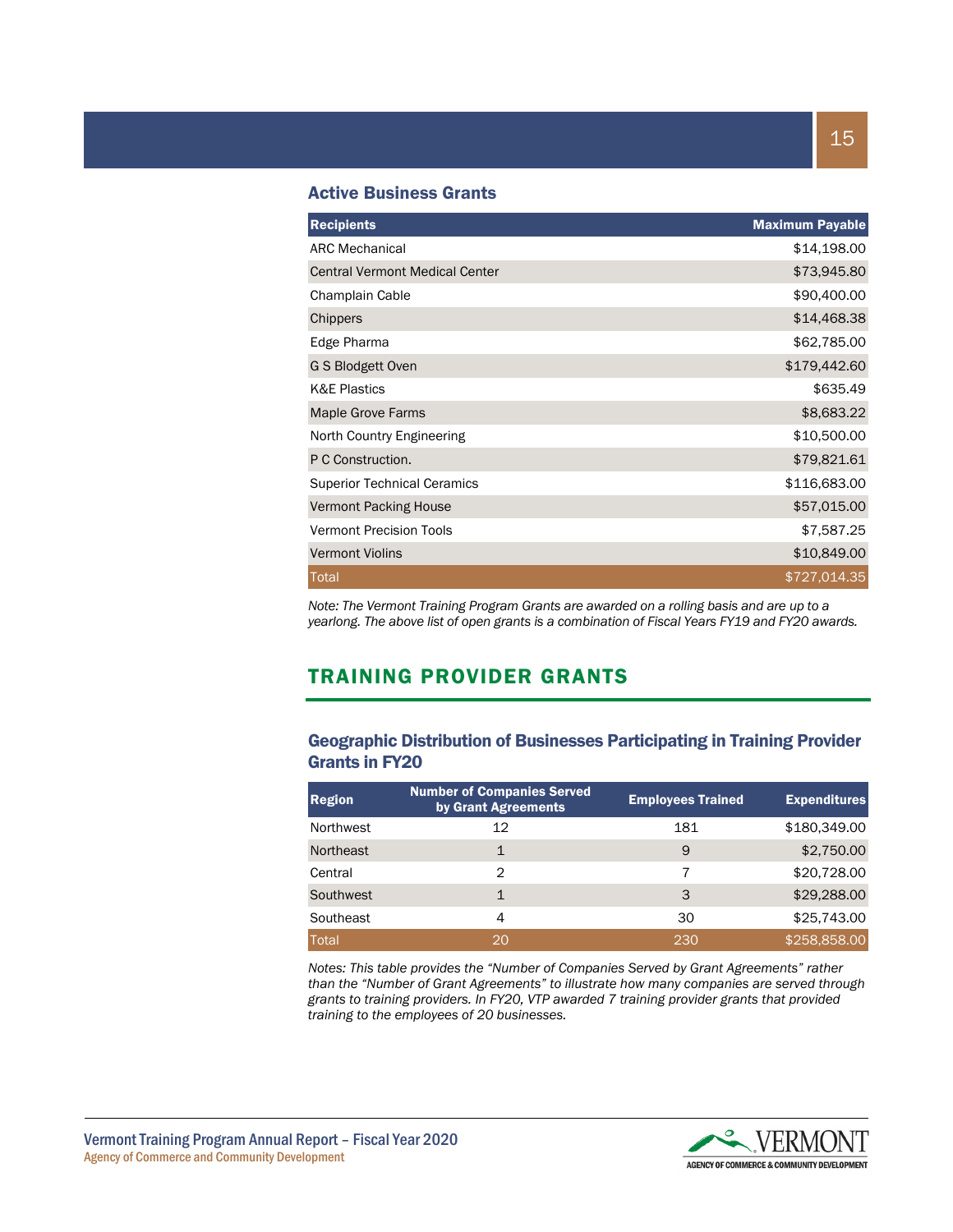#### Active Business Grants

| <b>Recipients</b>                     | <b>Maximum Payable</b> |
|---------------------------------------|------------------------|
| <b>ARC Mechanical</b>                 | \$14,198.00            |
| <b>Central Vermont Medical Center</b> | \$73,945.80            |
| Champlain Cable                       | \$90,400.00            |
| Chippers                              | \$14,468.38            |
| Edge Pharma                           | \$62,785.00            |
| G S Blodgett Oven                     | \$179,442.60           |
| <b>K&amp;E Plastics</b>               | \$635.49               |
| <b>Maple Grove Farms</b>              | \$8,683.22             |
| North Country Engineering             | \$10,500.00            |
| P C Construction.                     | \$79,821.61            |
| <b>Superior Technical Ceramics</b>    | \$116,683.00           |
| <b>Vermont Packing House</b>          | \$57,015.00            |
| <b>Vermont Precision Tools</b>        | \$7,587.25             |
| <b>Vermont Violins</b>                | \$10,849.00            |
| <b>Total</b>                          | \$727,014.35           |

*Note: The Vermont Training Program Grants are awarded on a rolling basis and are up to a yearlong. The above list of open grants is a combination of Fiscal Years FY19 and FY20 awards.*

## TRAINING PROVIDER GRANTS

#### Geographic Distribution of Businesses Participating in Training Provider Grants in FY20

| <b>Region</b> | <b>Number of Companies Served</b><br>by Grant Agreements | <b>Employees Trained</b> | <b>Expenditures</b> |
|---------------|----------------------------------------------------------|--------------------------|---------------------|
| Northwest     | 12                                                       | 181                      | \$180,349.00        |
| Northeast     |                                                          | 9                        | \$2,750.00          |
| Central       | 2                                                        | 7                        | \$20,728.00         |
| Southwest     | 1                                                        | 3                        | \$29,288.00         |
| Southeast     | 4                                                        | 30                       | \$25,743.00         |
| <b>Total</b>  | 20                                                       | 230                      | \$258,858.00        |

*Notes: This table provides the "Number of Companies Served by Grant Agreements" rather than the "Number of Grant Agreements" to illustrate how many companies are served through grants to training providers. In FY20, VTP awarded 7 training provider grants that provided training to the employees of 20 businesses.*

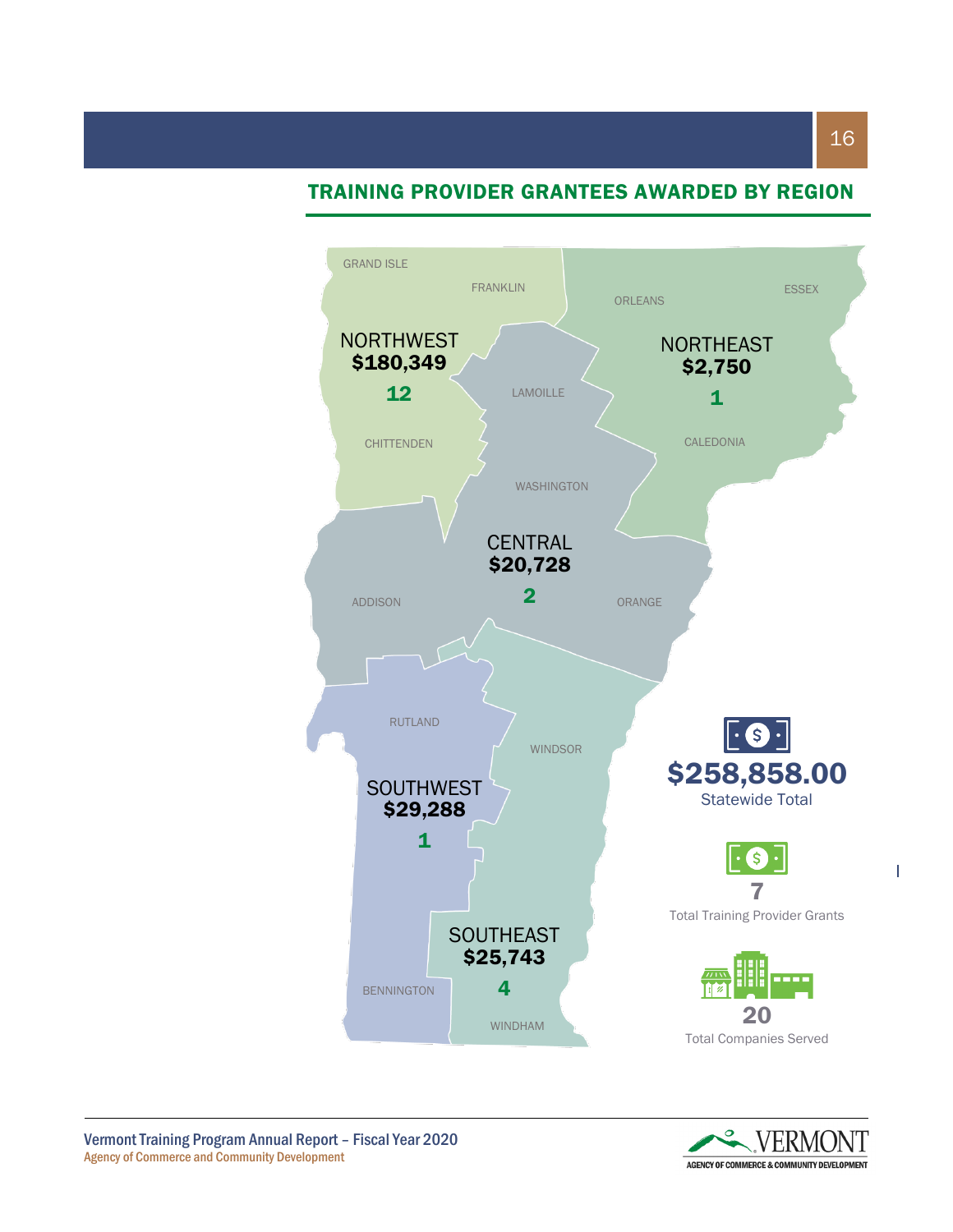## TRAINING PROVIDER GRANTEES AWARDED BY REGION



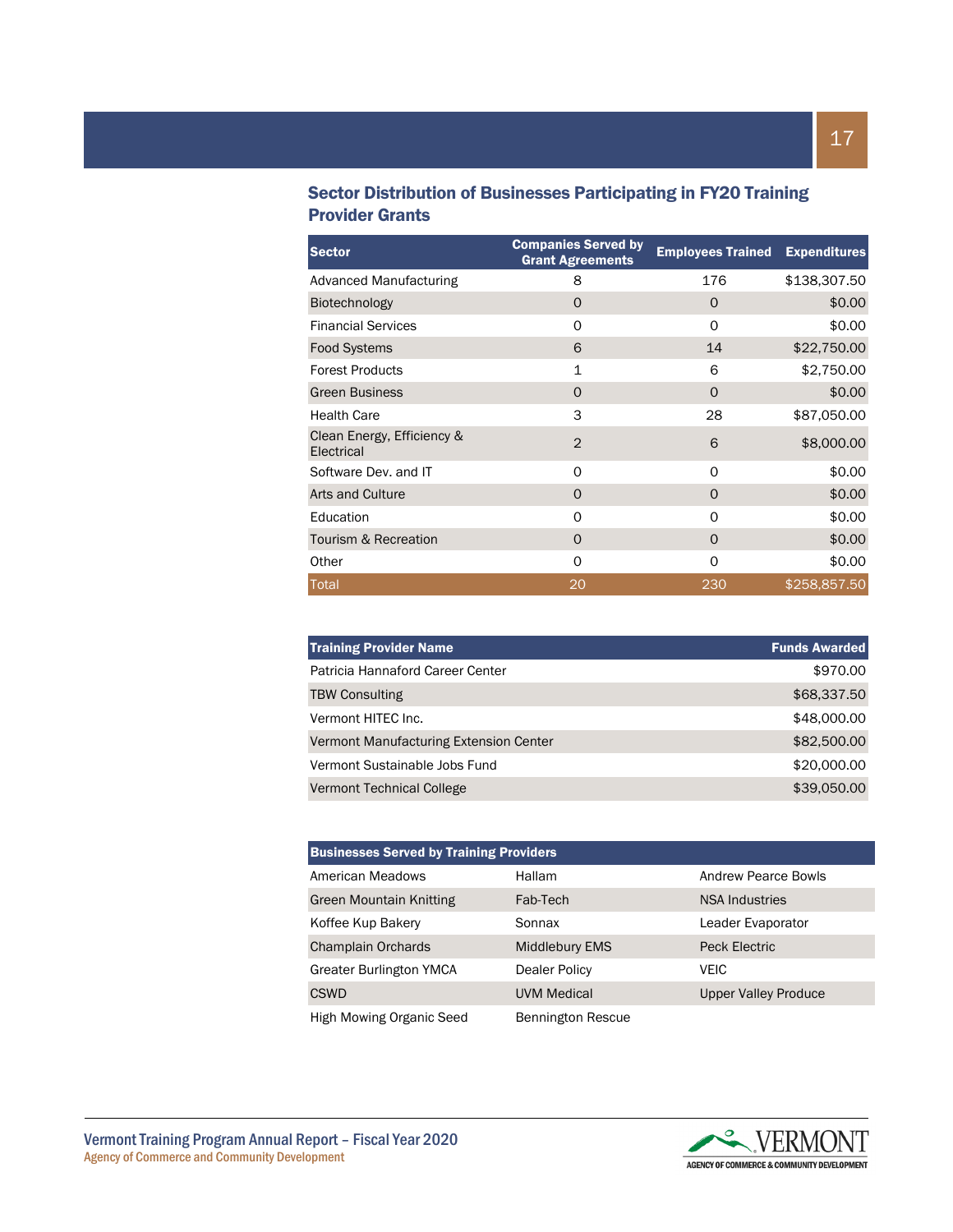### Sector Distribution of Businesses Participating in FY20 Training Provider Grants

| <b>Sector</b>                            | <b>Companies Served by</b><br><b>Grant Agreements</b> | <b>Employees Trained</b> | <b>Expenditures</b> |
|------------------------------------------|-------------------------------------------------------|--------------------------|---------------------|
| Advanced Manufacturing                   | 8                                                     | 176                      | \$138,307.50        |
| <b>Biotechnology</b>                     | 0                                                     | O                        | \$0.00              |
| <b>Financial Services</b>                | 0                                                     | $\Omega$                 | \$0.00              |
| <b>Food Systems</b>                      | 6                                                     | 14                       | \$22,750.00         |
| <b>Forest Products</b>                   | $\mathbf{1}$                                          | 6                        | \$2,750.00          |
| <b>Green Business</b>                    | 0                                                     | O                        | \$0.00              |
| <b>Health Care</b>                       | 3                                                     | 28                       | \$87,050.00         |
| Clean Energy, Efficiency &<br>Electrical | 2                                                     | 6                        | \$8,000.00          |
| Software Dev. and IT                     | 0                                                     | 0                        | \$0.00              |
| <b>Arts and Culture</b>                  | $\Omega$                                              | O                        | \$0.00              |
| Education                                | O                                                     | $\Omega$                 | \$0.00              |
| Tourism & Recreation                     | O                                                     | O                        | \$0.00              |
| Other                                    | $\Omega$                                              | Ω                        | \$0.00              |
| Total                                    | 20                                                    | 230                      | \$258,857.50        |

| <b>Training Provider Name</b>          | <b>Funds Awarded</b> |
|----------------------------------------|----------------------|
| Patricia Hannaford Career Center       | \$970.00             |
| <b>TBW Consulting</b>                  | \$68,337.50          |
| Vermont HITEC Inc.                     | \$48,000.00          |
| Vermont Manufacturing Extension Center | \$82,500.00          |
| Vermont Sustainable Jobs Fund          | \$20,000.00          |
| Vermont Technical College              | \$39,050.00          |

| <b>Businesses Served by Training Providers</b> |                          |                             |  |
|------------------------------------------------|--------------------------|-----------------------------|--|
| American Meadows                               | Hallam                   | <b>Andrew Pearce Bowls</b>  |  |
| <b>Green Mountain Knitting</b>                 | Fab-Tech                 | <b>NSA Industries</b>       |  |
| Koffee Kup Bakery                              | Sonnax                   | Leader Evaporator           |  |
| <b>Champlain Orchards</b>                      | <b>Middlebury EMS</b>    | Peck Electric               |  |
| <b>Greater Burlington YMCA</b>                 | Dealer Policy            | <b>VEIC</b>                 |  |
| <b>CSWD</b>                                    | <b>UVM Medical</b>       | <b>Upper Valley Produce</b> |  |
| High Mowing Organic Seed                       | <b>Bennington Rescue</b> |                             |  |

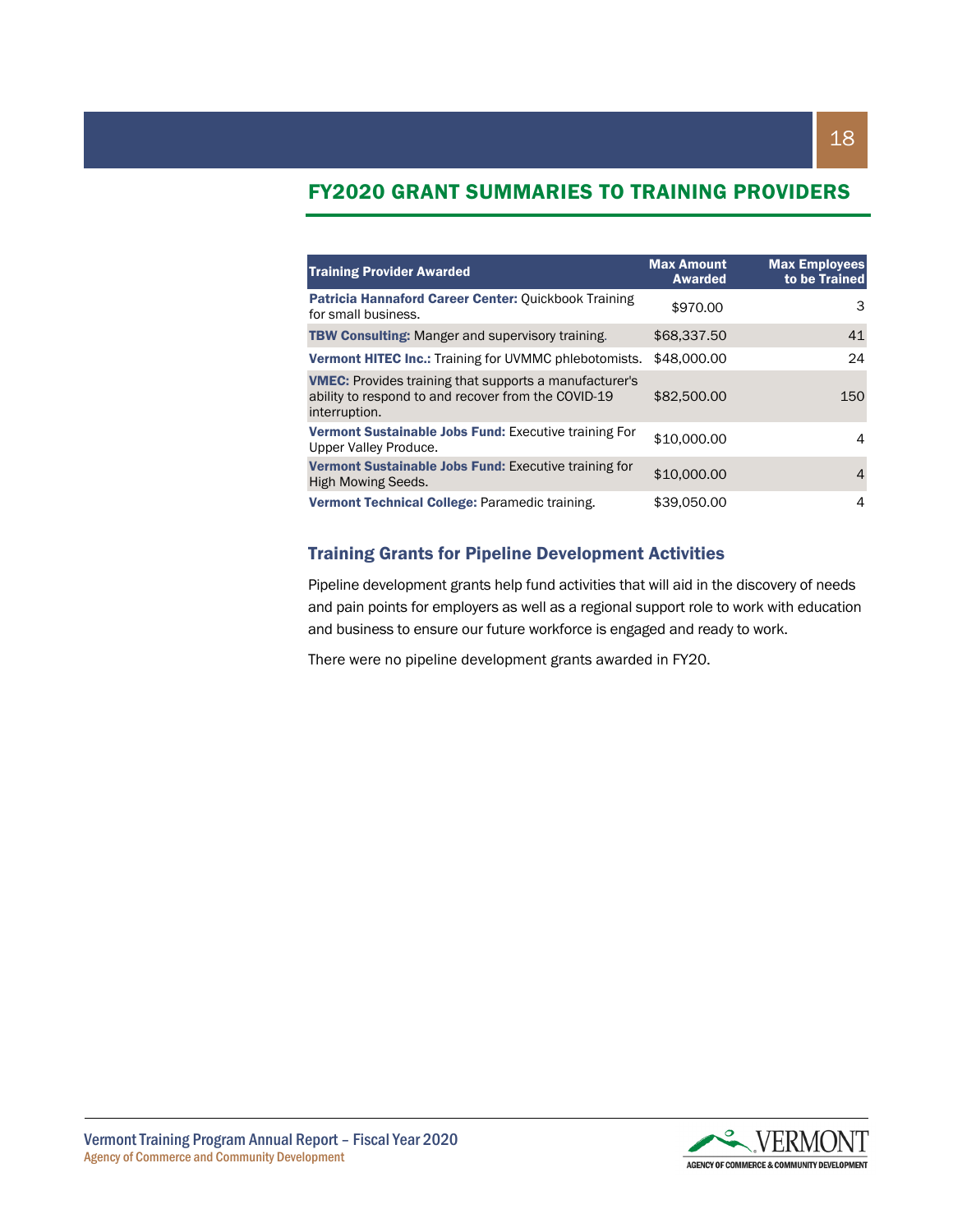## FY2020 GRANT SUMMARIES TO TRAINING PROVIDERS

| <b>Training Provider Awarded</b>                                                                                                      | <b>Max Amount</b><br><b>Awarded</b> | <b>Max Employees</b><br>to be Trained |
|---------------------------------------------------------------------------------------------------------------------------------------|-------------------------------------|---------------------------------------|
| Patricia Hannaford Career Center: Quickbook Training<br>for small business.                                                           | \$970.00                            | 3                                     |
| <b>TBW Consulting: Manger and supervisory training.</b>                                                                               | \$68,337.50                         | 41                                    |
| <b>Vermont HITEC Inc.: Training for UVMMC phlebotomists.</b>                                                                          | \$48,000,00                         | 24                                    |
| <b>VMEC:</b> Provides training that supports a manufacturer's<br>ability to respond to and recover from the COVID-19<br>interruption. | \$82,500.00                         | 150                                   |
| Vermont Sustainable Jobs Fund: Executive training For<br>Upper Valley Produce.                                                        | \$10,000.00                         | 4                                     |
| Vermont Sustainable Jobs Fund: Executive training for<br>High Mowing Seeds.                                                           | \$10,000,00                         | 4                                     |
| Vermont Technical College: Paramedic training.                                                                                        | \$39,050,00                         | 4                                     |

#### Training Grants for Pipeline Development Activities

Pipeline development grants help fund activities that will aid in the discovery of needs and pain points for employers as well as a regional support role to work with education and business to ensure our future workforce is engaged and ready to work.

There were no pipeline development grants awarded in FY20.

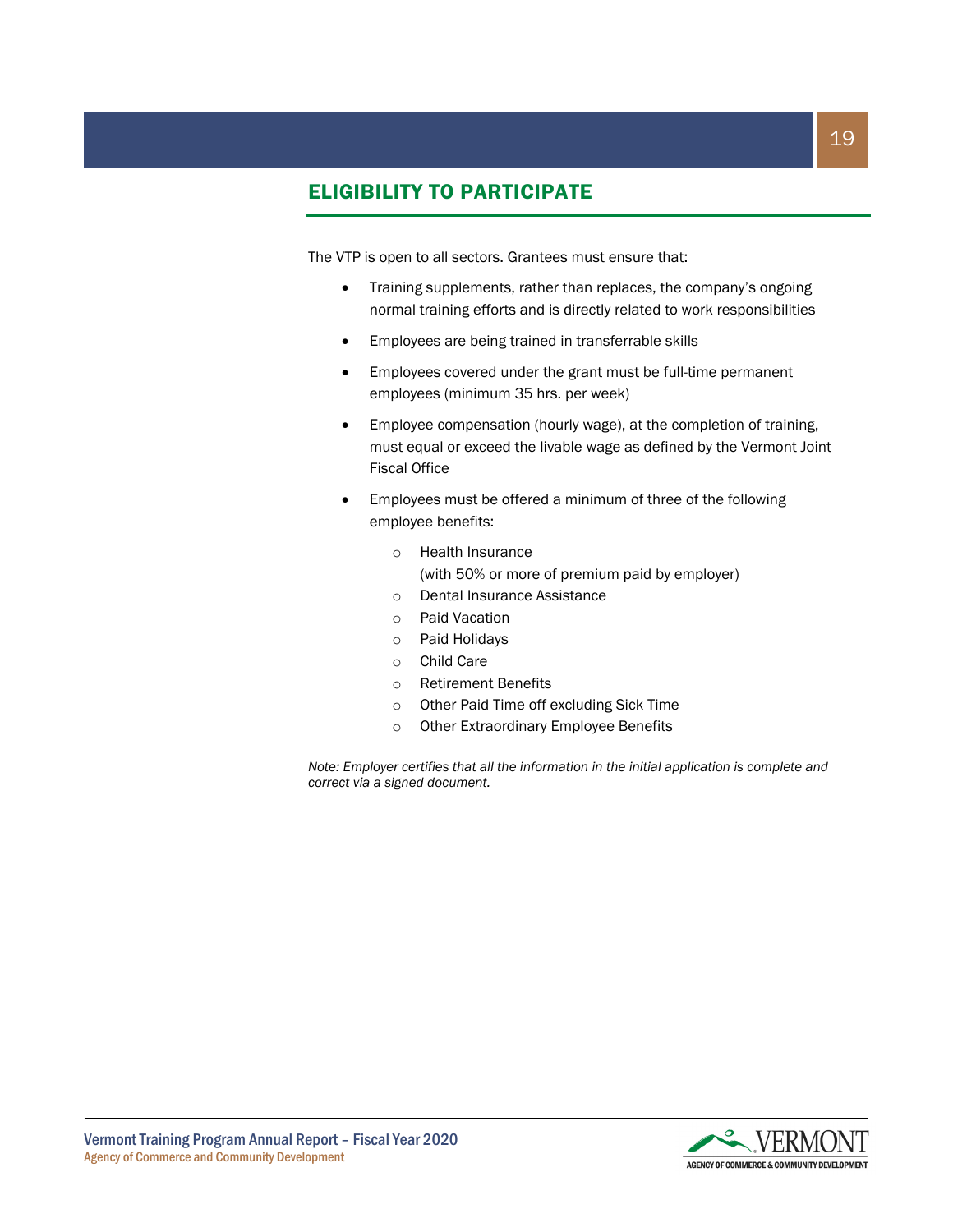## ELIGIBILITY TO PARTICIPATE

The VTP is open to all sectors. Grantees must ensure that:

- Training supplements, rather than replaces, the company's ongoing normal training efforts and is directly related to work responsibilities
- Employees are being trained in transferrable skills
- Employees covered under the grant must be full-time permanent employees (minimum 35 hrs. per week)
- Employee compensation (hourly wage), at the completion of training, must equal or exceed the livable wage as defined by the Vermont Joint Fiscal Office
- Employees must be offered a minimum of three of the following employee benefits:
	- o Health Insurance (with 50% or more of premium paid by employer)
	- o Dental Insurance Assistance
	- o Paid Vacation
	- o Paid Holidays
	- o Child Care
	- o Retirement Benefits
	- o Other Paid Time off excluding Sick Time
	- o Other Extraordinary Employee Benefits

*Note: Employer certifies that all the information in the initial application is complete and correct via a signed document.*

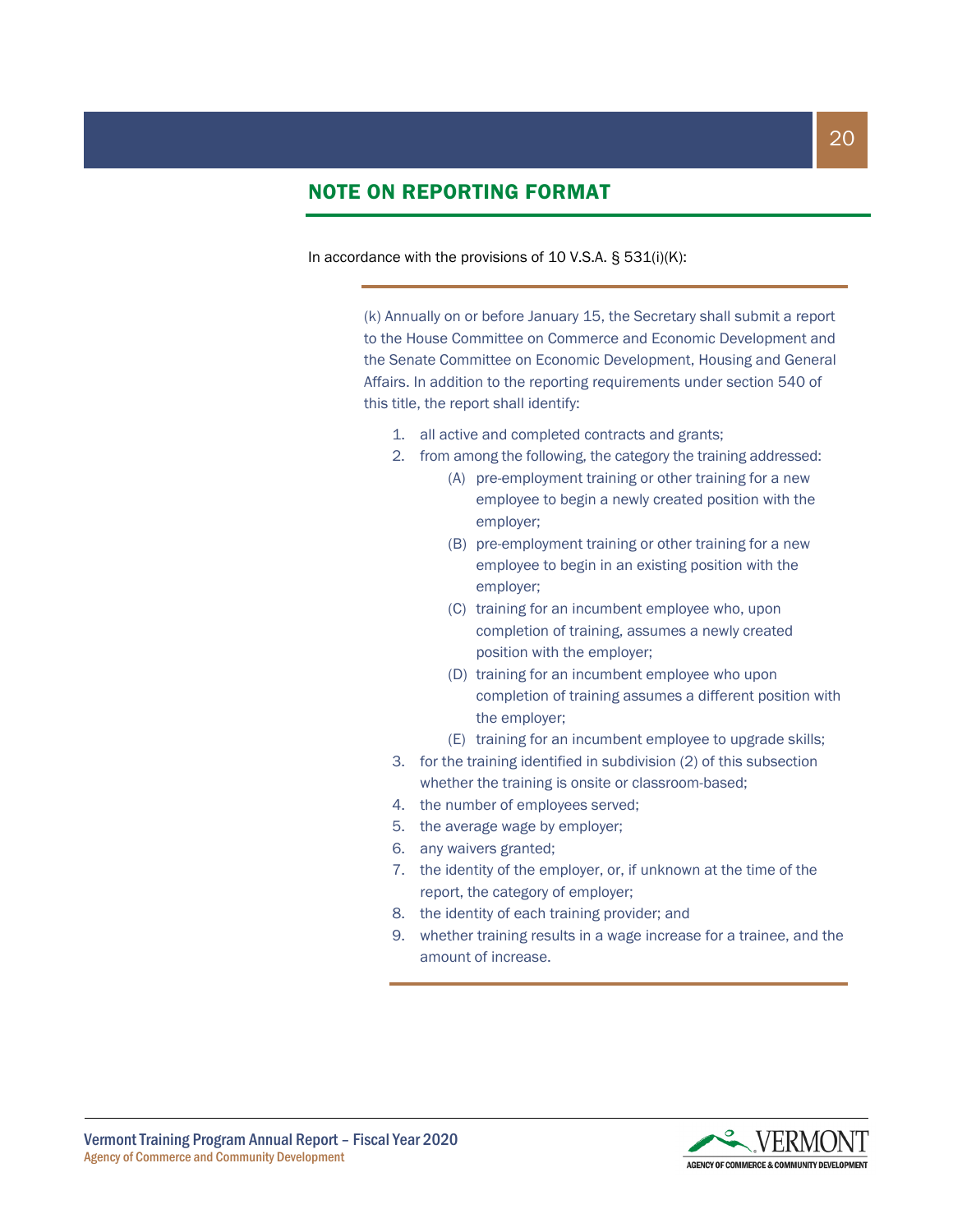## NOTE ON REPORTING FORMAT

In accordance with the provisions of 10 V.S.A. § 531(i)(K):

(k) Annually on or before January 15, the Secretary shall submit a report to the House Committee on Commerce and Economic Development and the Senate Committee on Economic Development, Housing and General Affairs. In addition to the reporting requirements under section 540 of this title, the report shall identify:

- 1. all active and completed contracts and grants;
- 2. from among the following, the category the training addressed:
	- (A) pre-employment training or other training for a new employee to begin a newly created position with the employer;
	- (B) pre-employment training or other training for a new employee to begin in an existing position with the employer;
	- (C) training for an incumbent employee who, upon completion of training, assumes a newly created position with the employer;
	- (D) training for an incumbent employee who upon completion of training assumes a different position with the employer;
	- (E) training for an incumbent employee to upgrade skills;
- 3. for the training identified in subdivision (2) of this subsection whether the training is onsite or classroom-based;
- 4. the number of employees served;
- 5. the average wage by employer;
- 6. any waivers granted;
- 7. the identity of the employer, or, if unknown at the time of the report, the category of employer;
- 8. the identity of each training provider; and
- 9. whether training results in a wage increase for a trainee, and the amount of increase.

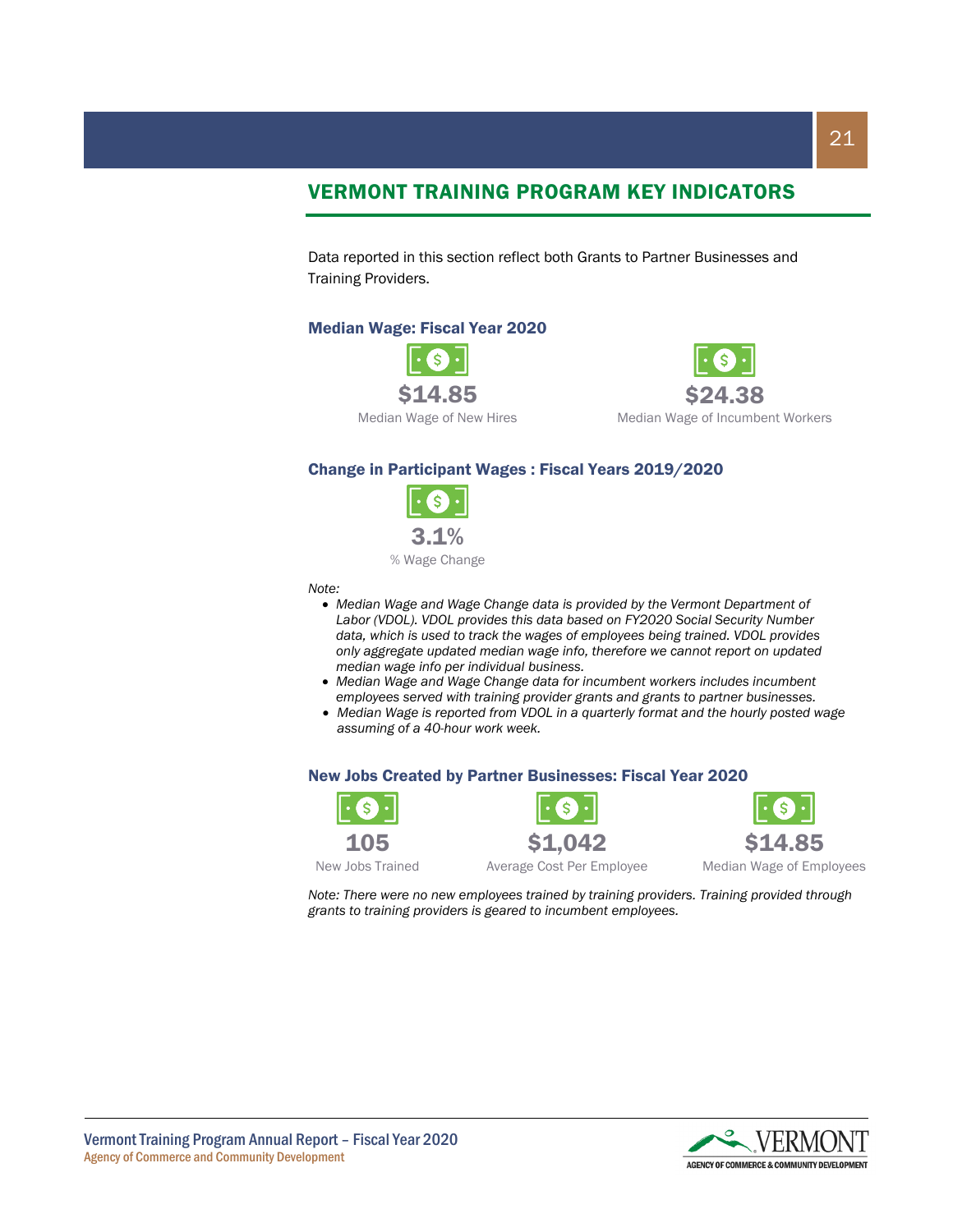## VERMONT TRAINING PROGRAM KEY INDICATORS

Data reported in this section reflect both Grants to Partner Businesses and Training Providers.

#### Median Wage: Fiscal Year 2020





Median Wage of Incumbent Workers

#### Change in Participant Wages : Fiscal Years 2019/2020



% Wage Change

*Note:*

- *Median Wage and Wage Change data is provided by the Vermont Department of Labor (VDOL). VDOL provides this data based on FY2020 Social Security Number data, which is used to track the wages of employees being trained. VDOL provides only aggregate updated median wage info, therefore we cannot report on updated median wage info per individual business.*
- *Median Wage and Wage Change data for incumbent workers includes incumbent employees served with training provider grants and grants to partner businesses.*
- *Median Wage is reported from VDOL in a quarterly format and the hourly posted wage assuming of a 40-hour work week.*

#### New Jobs Created by Partner Businesses: Fiscal Year 2020







New Jobs Trained

Average Cost Per Employee

Median Wage of Employees

*Note: There were no new employees trained by training providers. Training provided through grants to training providers is geared to incumbent employees.*

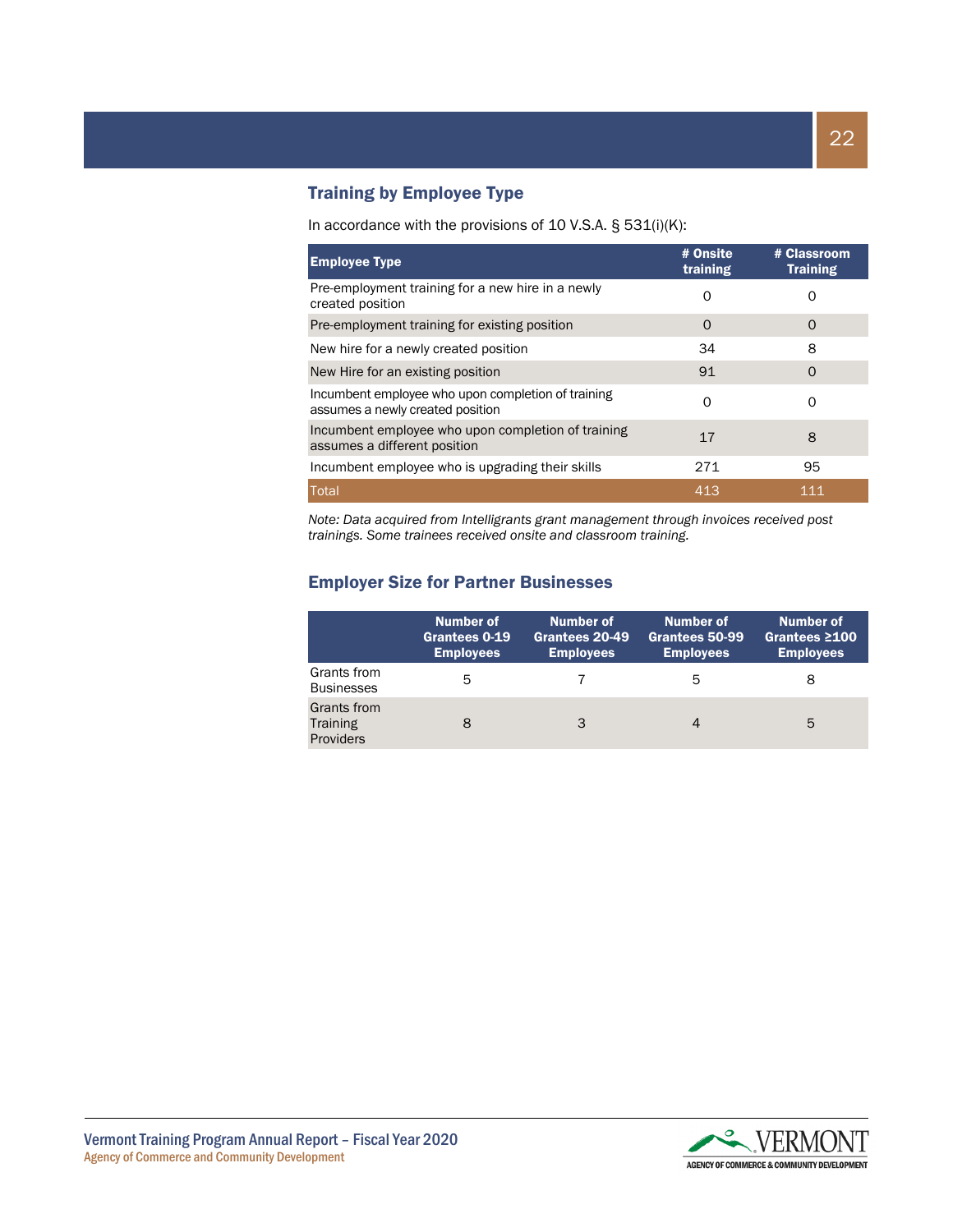#### Training by Employee Type

#### In accordance with the provisions of 10 V.S.A. § 531(i)(K):

| <b>Employee Type</b>                                                                   | # Onsite<br>training | # Classroom<br><b>Training</b> |
|----------------------------------------------------------------------------------------|----------------------|--------------------------------|
| Pre-employment training for a new hire in a newly<br>created position                  | O                    |                                |
| Pre-employment training for existing position                                          | $\Omega$             | O                              |
| New hire for a newly created position                                                  | 34                   | 8                              |
| New Hire for an existing position                                                      | 91                   | $\Omega$                       |
| Incumbent employee who upon completion of training<br>assumes a newly created position | Ω                    | O                              |
| Incumbent employee who upon completion of training<br>assumes a different position     | 17                   | 8                              |
| Incumbent employee who is upgrading their skills                                       | 271                  | 95                             |
| Total                                                                                  | 413                  | 111                            |

*Note: Data acquired from Intelligrants grant management through invoices received post trainings. Some trainees received onsite and classroom training.*

#### Employer Size for Partner Businesses

|                                                    | Number of<br>Grantees 0-19<br><b>Employees</b> | Number of<br>Grantees 20-49<br><b>Employees</b> | Number of<br>Grantees 50-99<br><b>Employees</b> | Number of<br>Grantees $\geq 100$<br><b>Employees</b> |
|----------------------------------------------------|------------------------------------------------|-------------------------------------------------|-------------------------------------------------|------------------------------------------------------|
| Grants from<br><b>Businesses</b>                   | 5                                              |                                                 | 5                                               | 8                                                    |
| Grants from<br><b>Training</b><br><b>Providers</b> |                                                | 3                                               |                                                 | 5                                                    |

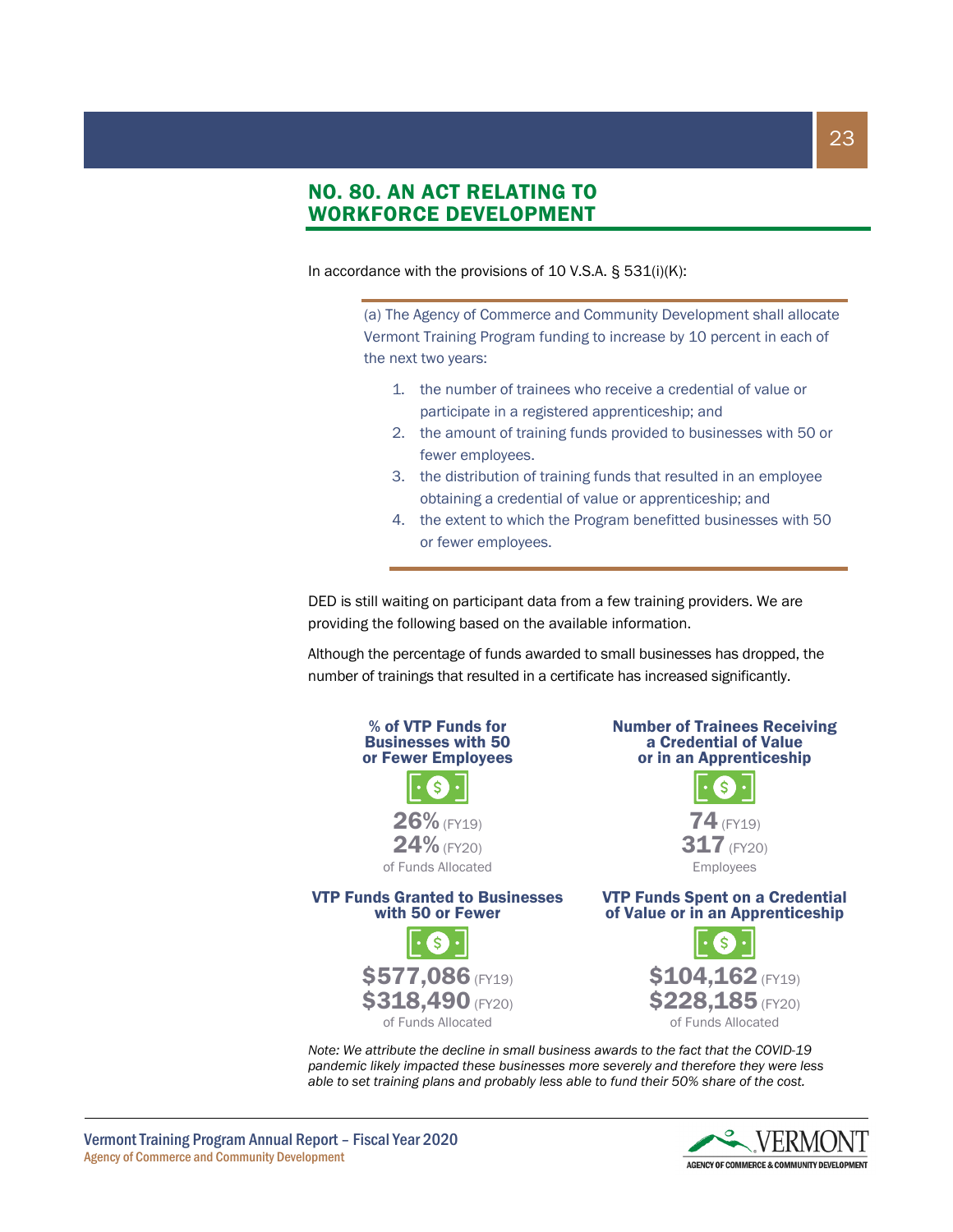### NO. 80. AN ACT RELATING TO WORKFORCE DEVELOPMENT

In accordance with the provisions of 10 V.S.A. § 531(i)(K):

(a) The Agency of Commerce and Community Development shall allocate Vermont Training Program funding to increase by 10 percent in each of the next two years:

- 1. the number of trainees who receive a credential of value or participate in a registered apprenticeship; and
- 2. the amount of training funds provided to businesses with 50 or fewer employees.
- 3. the distribution of training funds that resulted in an employee obtaining a credential of value or apprenticeship; and
- 4. the extent to which the Program benefitted businesses with 50 or fewer employees.

DED is still waiting on participant data from a few training providers. We are providing the following based on the available information.

Although the percentage of funds awarded to small businesses has dropped, the number of trainings that resulted in a certificate has increased significantly.



*Note: We attribute the decline in small business awards to the fact that the COVID-19 pandemic likely impacted these businesses more severely and therefore they were less able to set training plans and probably less able to fund their 50% share of the cost.*